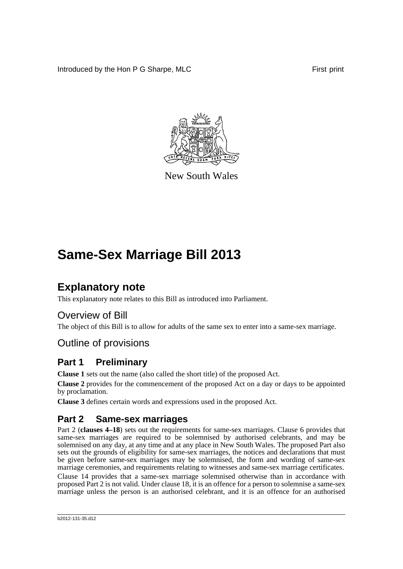Introduced by the Hon P G Sharpe, MLC First print



New South Wales

## **Same-Sex Marriage Bill 2013**

## **Explanatory note**

This explanatory note relates to this Bill as introduced into Parliament.

## Overview of Bill

The object of this Bill is to allow for adults of the same sex to enter into a same-sex marriage.

## Outline of provisions

## **Part 1 Preliminary**

**Clause 1** sets out the name (also called the short title) of the proposed Act.

**Clause 2** provides for the commencement of the proposed Act on a day or days to be appointed by proclamation.

**Clause 3** defines certain words and expressions used in the proposed Act.

## **Part 2 Same-sex marriages**

Part 2 (**clauses 4–18**) sets out the requirements for same-sex marriages. Clause 6 provides that same-sex marriages are required to be solemnised by authorised celebrants, and may be solemnised on any day, at any time and at any place in New South Wales. The proposed Part also sets out the grounds of eligibility for same-sex marriages, the notices and declarations that must be given before same-sex marriages may be solemnised, the form and wording of same-sex marriage ceremonies, and requirements relating to witnesses and same-sex marriage certificates. Clause 14 provides that a same-sex marriage solemnised otherwise than in accordance with

proposed Part 2 is not valid. Under clause 18, it is an offence for a person to solemnise a same-sex marriage unless the person is an authorised celebrant, and it is an offence for an authorised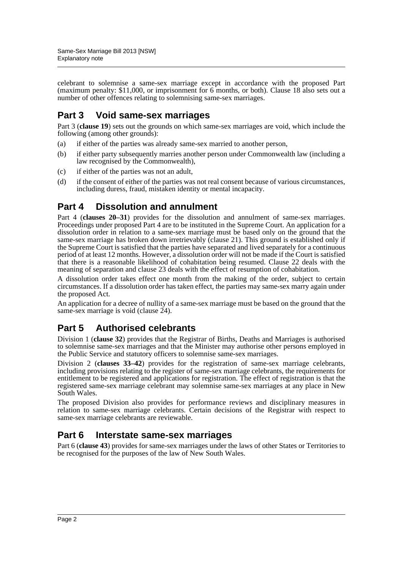celebrant to solemnise a same-sex marriage except in accordance with the proposed Part (maximum penalty: \$11,000, or imprisonment for 6 months, or both). Clause 18 also sets out a number of other offences relating to solemnising same-sex marriages.

## **Part 3 Void same-sex marriages**

Part 3 (**clause 19**) sets out the grounds on which same-sex marriages are void, which include the following (among other grounds):

- (a) if either of the parties was already same-sex married to another person,
- (b) if either party subsequently marries another person under Commonwealth law (including a law recognised by the Commonwealth),
- (c) if either of the parties was not an adult,
- (d) if the consent of either of the parties was not real consent because of various circumstances, including duress, fraud, mistaken identity or mental incapacity.

## **Part 4 Dissolution and annulment**

Part 4 (**clauses 20–31**) provides for the dissolution and annulment of same-sex marriages. Proceedings under proposed Part 4 are to be instituted in the Supreme Court. An application for a dissolution order in relation to a same-sex marriage must be based only on the ground that the same-sex marriage has broken down irretrievably (clause 21). This ground is established only if the Supreme Court is satisfied that the parties have separated and lived separately for a continuous period of at least 12 months. However, a dissolution order will not be made if the Court is satisfied that there is a reasonable likelihood of cohabitation being resumed. Clause 22 deals with the meaning of separation and clause 23 deals with the effect of resumption of cohabitation.

A dissolution order takes effect one month from the making of the order, subject to certain circumstances. If a dissolution order has taken effect, the parties may same-sex marry again under the proposed Act.

An application for a decree of nullity of a same-sex marriage must be based on the ground that the same-sex marriage is void (clause 24).

## **Part 5 Authorised celebrants**

Division 1 (**clause 32**) provides that the Registrar of Births, Deaths and Marriages is authorised to solemnise same-sex marriages and that the Minister may authorise other persons employed in the Public Service and statutory officers to solemnise same-sex marriages.

Division 2 (**clauses 33–42**) provides for the registration of same-sex marriage celebrants, including provisions relating to the register of same-sex marriage celebrants, the requirements for entitlement to be registered and applications for registration. The effect of registration is that the registered same-sex marriage celebrant may solemnise same-sex marriages at any place in New South Wales.

The proposed Division also provides for performance reviews and disciplinary measures in relation to same-sex marriage celebrants. Certain decisions of the Registrar with respect to same-sex marriage celebrants are reviewable.

## **Part 6 Interstate same-sex marriages**

Part 6 (**clause 43**) provides for same-sex marriages under the laws of other States or Territories to be recognised for the purposes of the law of New South Wales.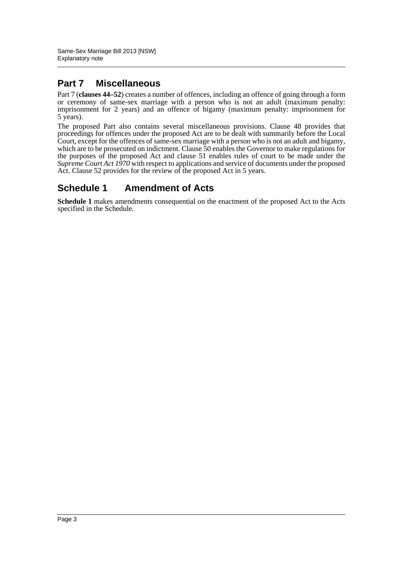## **Part 7 Miscellaneous**

Part 7 (**clauses 44–52**) creates a number of offences, including an offence of going through a form or ceremony of same-sex marriage with a person who is not an adult (maximum penalty: imprisonment for 2 years) and an offence of bigamy (maximum penalty: imprisonment for 5 years).

The proposed Part also contains several miscellaneous provisions. Clause 48 provides that proceedings for offences under the proposed Act are to be dealt with summarily before the Local Court, except for the offences of same-sex marriage with a person who is not an adult and bigamy, which are to be prosecuted on indictment. Clause 50 enables the Governor to make regulations for the purposes of the proposed Act and clause 51 enables rules of court to be made under the *Supreme Court Act 1970* with respect to applications and service of documents under the proposed Act. Clause 52 provides for the review of the proposed Act in 5 years.

## **Schedule 1 Amendment of Acts**

**Schedule 1** makes amendments consequential on the enactment of the proposed Act to the Acts specified in the Schedule.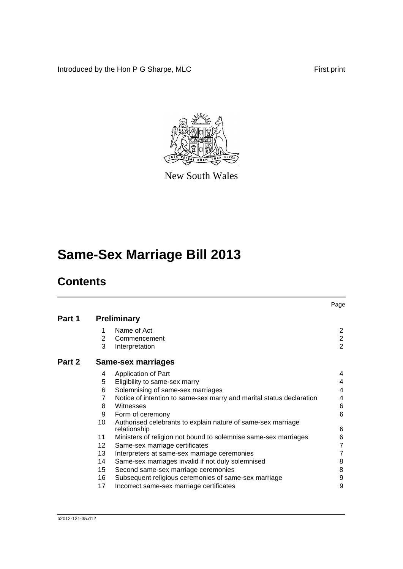Introduced by the Hon P G Sharpe, MLC First print



New South Wales

# **Same-Sex Marriage Bill 2013**

## **Contents**

|        |    |                                                                              | Page           |
|--------|----|------------------------------------------------------------------------------|----------------|
| Part 1 |    | <b>Preliminary</b>                                                           |                |
|        |    | Name of Act                                                                  | $\overline{2}$ |
|        | 2  | Commencement                                                                 | $\overline{2}$ |
|        | 3  | Interpretation                                                               | $\overline{2}$ |
| Part 2 |    | <b>Same-sex marriages</b>                                                    |                |
|        | 4  | Application of Part                                                          | 4              |
|        | 5  | Eligibility to same-sex marry                                                | 4              |
|        | 6  | Solemnising of same-sex marriages                                            | 4              |
|        | 7  | Notice of intention to same-sex marry and marital status declaration         | 4              |
|        | 8  | Witnesses                                                                    | 6              |
|        | 9  | Form of ceremony                                                             | 6              |
|        | 10 | Authorised celebrants to explain nature of same-sex marriage<br>relationship | 6              |
|        | 11 | Ministers of religion not bound to solemnise same-sex marriages              | 6              |
|        | 12 | Same-sex marriage certificates                                               | 7              |
|        | 13 | Interpreters at same-sex marriage ceremonies                                 | 7              |
|        | 14 | Same-sex marriages invalid if not duly solemnised                            | 8              |
|        | 15 | Second same-sex marriage ceremonies                                          | 8              |
|        | 16 | Subsequent religious ceremonies of same-sex marriage                         | 9              |
|        | 17 | Incorrect same-sex marriage certificates                                     | 9              |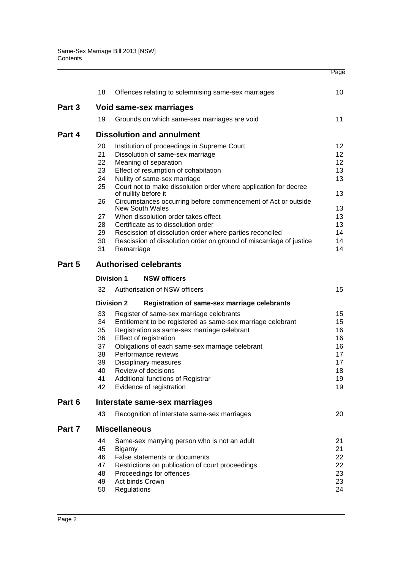|        | 18                           | Offences relating to solemnising same-sex marriages                                      | 10              |  |  |  |  |
|--------|------------------------------|------------------------------------------------------------------------------------------|-----------------|--|--|--|--|
| Part 3 | Void same-sex marriages      |                                                                                          |                 |  |  |  |  |
|        | 19                           | Grounds on which same-sex marriages are void                                             | 11              |  |  |  |  |
| Part 4 |                              | <b>Dissolution and annulment</b>                                                         |                 |  |  |  |  |
|        | 20                           | Institution of proceedings in Supreme Court                                              | 12 <sup>°</sup> |  |  |  |  |
|        | 21                           | Dissolution of same-sex marriage                                                         | 12 <sup>°</sup> |  |  |  |  |
|        | 22                           | Meaning of separation                                                                    | 12 <sup>°</sup> |  |  |  |  |
|        | 23                           | Effect of resumption of cohabitation                                                     | 13              |  |  |  |  |
|        | 24                           | Nullity of same-sex marriage                                                             | 13              |  |  |  |  |
|        | 25                           | Court not to make dissolution order where application for decree<br>of nullity before it | 13              |  |  |  |  |
|        | 26                           | Circumstances occurring before commencement of Act or outside<br><b>New South Wales</b>  | 13              |  |  |  |  |
|        | 27                           | When dissolution order takes effect                                                      | 13              |  |  |  |  |
|        | 28                           | Certificate as to dissolution order                                                      | 13              |  |  |  |  |
|        | 29                           | Rescission of dissolution order where parties reconciled                                 | 14              |  |  |  |  |
|        | 30                           | Rescission of dissolution order on ground of miscarriage of justice                      | 14              |  |  |  |  |
|        | 31                           | Remarriage                                                                               | 14              |  |  |  |  |
| Part 5 | <b>Authorised celebrants</b> |                                                                                          |                 |  |  |  |  |
|        |                              | <b>Division 1</b><br><b>NSW officers</b>                                                 |                 |  |  |  |  |
|        | 32                           | Authorisation of NSW officers                                                            | 15              |  |  |  |  |
|        |                              | <b>Division 2</b><br>Registration of same-sex marriage celebrants                        |                 |  |  |  |  |
|        | 33                           | Register of same-sex marriage celebrants                                                 | 15              |  |  |  |  |
|        | 34                           | Entitlement to be registered as same-sex marriage celebrant                              | 15              |  |  |  |  |
|        | 35                           | Registration as same-sex marriage celebrant                                              | 16              |  |  |  |  |
|        | 36                           | Effect of registration                                                                   | 16              |  |  |  |  |
|        | 37                           | Obligations of each same-sex marriage celebrant                                          | 16              |  |  |  |  |
|        | 38                           | Performance reviews                                                                      | 17              |  |  |  |  |
|        | 39                           | <b>Disciplinary measures</b>                                                             | 17<br>18        |  |  |  |  |
|        | 40<br>41                     | Review of decisions<br>Additional functions of Registrar                                 | 19              |  |  |  |  |
|        | 42                           | Evidence of registration                                                                 | 19              |  |  |  |  |
| Part 6 |                              | Interstate same-sex marriages                                                            |                 |  |  |  |  |
|        | 43                           | Recognition of interstate same-sex marriages                                             | 20              |  |  |  |  |
| Part 7 |                              | <b>Miscellaneous</b>                                                                     |                 |  |  |  |  |
|        | 44                           | Same-sex marrying person who is not an adult                                             | 21              |  |  |  |  |
|        | 45                           | Bigamy                                                                                   | 21              |  |  |  |  |
|        | 46                           | False statements or documents                                                            | 22              |  |  |  |  |
|        | 47                           | Restrictions on publication of court proceedings                                         | 22              |  |  |  |  |
|        | 48                           | Proceedings for offences                                                                 | 23              |  |  |  |  |
|        | 49                           | Act binds Crown                                                                          | 23              |  |  |  |  |

[50 Regulations](#page-29-0) 24

Page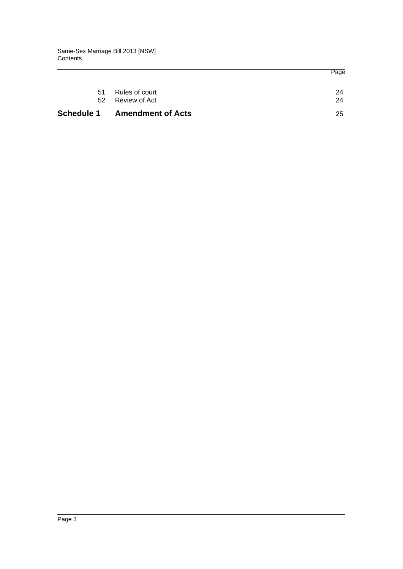| <b>Schedule 1</b> | <b>Amendment of Acts</b>                  | 25       |
|-------------------|-------------------------------------------|----------|
| 51                | Rules of court<br>Review of Act<br>$52 -$ | 24<br>24 |
|                   |                                           | Page     |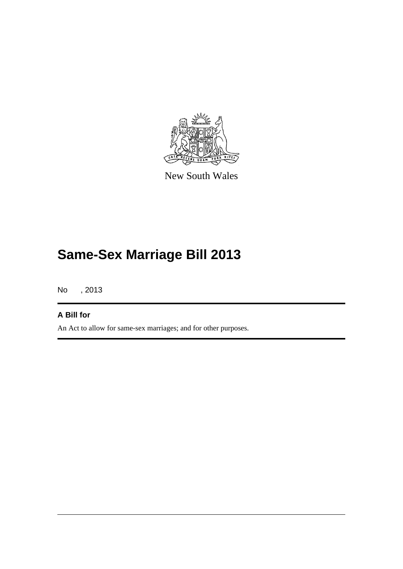

New South Wales

# **Same-Sex Marriage Bill 2013**

No , 2013

### **A Bill for**

An Act to allow for same-sex marriages; and for other purposes.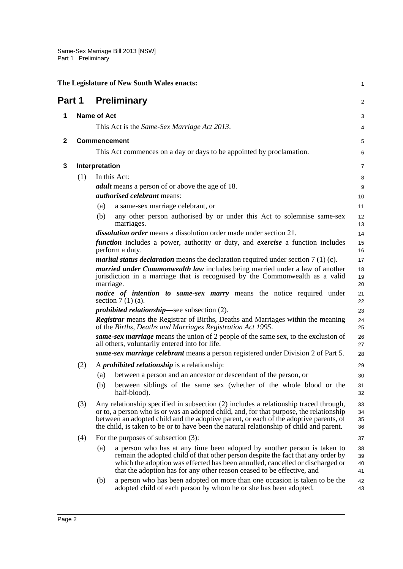<span id="page-7-3"></span><span id="page-7-2"></span><span id="page-7-1"></span><span id="page-7-0"></span>

|              |                                                                                                                                                                           |                                                                      | The Legislature of New South Wales enacts:                                                                                                                                                                                                                                                                                                                          | 1                    |  |  |
|--------------|---------------------------------------------------------------------------------------------------------------------------------------------------------------------------|----------------------------------------------------------------------|---------------------------------------------------------------------------------------------------------------------------------------------------------------------------------------------------------------------------------------------------------------------------------------------------------------------------------------------------------------------|----------------------|--|--|
| Part 1       |                                                                                                                                                                           |                                                                      | <b>Preliminary</b>                                                                                                                                                                                                                                                                                                                                                  | $\overline{c}$       |  |  |
| 1            |                                                                                                                                                                           |                                                                      | <b>Name of Act</b>                                                                                                                                                                                                                                                                                                                                                  |                      |  |  |
|              |                                                                                                                                                                           |                                                                      | This Act is the <i>Same-Sex Marriage Act 2013</i> .                                                                                                                                                                                                                                                                                                                 | 4                    |  |  |
| $\mathbf{2}$ |                                                                                                                                                                           | <b>Commencement</b>                                                  |                                                                                                                                                                                                                                                                                                                                                                     |                      |  |  |
|              |                                                                                                                                                                           | This Act commences on a day or days to be appointed by proclamation. |                                                                                                                                                                                                                                                                                                                                                                     |                      |  |  |
| 3            |                                                                                                                                                                           | Interpretation                                                       |                                                                                                                                                                                                                                                                                                                                                                     | 7                    |  |  |
|              | (1)                                                                                                                                                                       |                                                                      | In this Act:                                                                                                                                                                                                                                                                                                                                                        | 8                    |  |  |
|              |                                                                                                                                                                           |                                                                      | <i>adult</i> means a person of or above the age of 18.                                                                                                                                                                                                                                                                                                              | 9                    |  |  |
|              |                                                                                                                                                                           |                                                                      | <i>authorised celebrant</i> means:                                                                                                                                                                                                                                                                                                                                  | 10                   |  |  |
|              |                                                                                                                                                                           | (a)                                                                  | a same-sex marriage celebrant, or                                                                                                                                                                                                                                                                                                                                   | 11                   |  |  |
|              |                                                                                                                                                                           | (b)                                                                  | any other person authorised by or under this Act to solemnise same-sex<br>marriages.                                                                                                                                                                                                                                                                                | 12<br>13             |  |  |
|              |                                                                                                                                                                           |                                                                      | <i>dissolution order</i> means a dissolution order made under section 21.                                                                                                                                                                                                                                                                                           | 14                   |  |  |
|              |                                                                                                                                                                           |                                                                      | <i>function</i> includes a power, authority or duty, and <i>exercise</i> a function includes<br>perform a duty.                                                                                                                                                                                                                                                     | 15<br>16             |  |  |
|              |                                                                                                                                                                           |                                                                      | <i>marital status declaration</i> means the declaration required under section $7(1)(c)$ .                                                                                                                                                                                                                                                                          | 17                   |  |  |
|              | married under Commonwealth law includes being married under a law of another<br>jurisdiction in a marriage that is recognised by the Commonwealth as a valid<br>marriage. |                                                                      |                                                                                                                                                                                                                                                                                                                                                                     | 18<br>19<br>20       |  |  |
|              | section $7(1)(a)$ .                                                                                                                                                       |                                                                      | <i>notice of intention to same-sex marry</i> means the notice required under                                                                                                                                                                                                                                                                                        | 21<br>22             |  |  |
|              |                                                                                                                                                                           | <i>prohibited relationship</i> —see subsection $(2)$ .               |                                                                                                                                                                                                                                                                                                                                                                     |                      |  |  |
|              |                                                                                                                                                                           |                                                                      | <b>Registrar</b> means the Registrar of Births, Deaths and Marriages within the meaning<br>of the Births, Deaths and Marriages Registration Act 1995.                                                                                                                                                                                                               | 24<br>25             |  |  |
|              |                                                                                                                                                                           |                                                                      | same-sex marriage means the union of 2 people of the same sex, to the exclusion of<br>all others, voluntarily entered into for life.                                                                                                                                                                                                                                | 26<br>27             |  |  |
|              |                                                                                                                                                                           |                                                                      | same-sex marriage celebrant means a person registered under Division 2 of Part 5.                                                                                                                                                                                                                                                                                   | 28                   |  |  |
|              | (2)                                                                                                                                                                       |                                                                      | A <i>prohibited relationship</i> is a relationship:                                                                                                                                                                                                                                                                                                                 | 29                   |  |  |
|              |                                                                                                                                                                           | (a)                                                                  | between a person and an ancestor or descendant of the person, or                                                                                                                                                                                                                                                                                                    | 30                   |  |  |
|              |                                                                                                                                                                           | (b)                                                                  | between siblings of the same sex (whether of the whole blood or the<br>half-blood).                                                                                                                                                                                                                                                                                 | 31<br>32             |  |  |
|              | (3)                                                                                                                                                                       |                                                                      | Any relationship specified in subsection (2) includes a relationship traced through,<br>or to, a person who is or was an adopted child, and, for that purpose, the relationship<br>between an adopted child and the adoptive parent, or each of the adoptive parents, of<br>the child, is taken to be or to have been the natural relationship of child and parent. | 33<br>34<br>35<br>36 |  |  |
|              | (4)                                                                                                                                                                       |                                                                      | For the purposes of subsection (3):                                                                                                                                                                                                                                                                                                                                 | 37                   |  |  |
|              |                                                                                                                                                                           | (a)                                                                  | a person who has at any time been adopted by another person is taken to<br>remain the adopted child of that other person despite the fact that any order by<br>which the adoption was effected has been annulled, cancelled or discharged or<br>that the adoption has for any other reason ceased to be effective, and                                              | 38<br>39<br>40<br>41 |  |  |
|              |                                                                                                                                                                           | (b)                                                                  | a person who has been adopted on more than one occasion is taken to be the<br>adopted child of each person by whom he or she has been adopted.                                                                                                                                                                                                                      | 42<br>43             |  |  |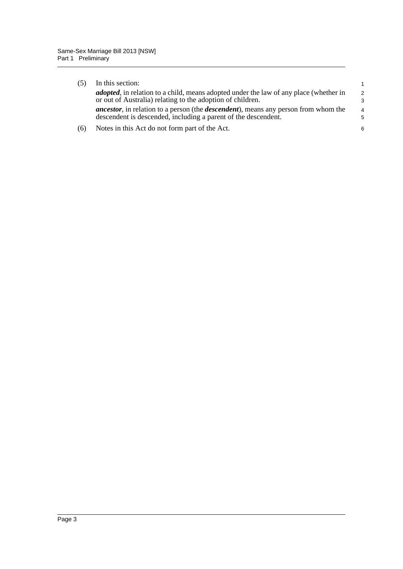| (5) | In this section:                                                                                                                                                     | 1                             |
|-----|----------------------------------------------------------------------------------------------------------------------------------------------------------------------|-------------------------------|
|     | <i>adopted</i> , in relation to a child, means adopted under the law of any place (whether in<br>or out of Australia) relating to the adoption of children.          | $\mathcal{P}$<br>3            |
|     | <i>ancestor</i> , in relation to a person (the <i>descendent</i> ), means any person from whom the<br>descendent is descended, including a parent of the descendent. | $\overline{4}$<br>$5^{\circ}$ |
| (6) | Notes in this Act do not form part of the Act.                                                                                                                       | 6                             |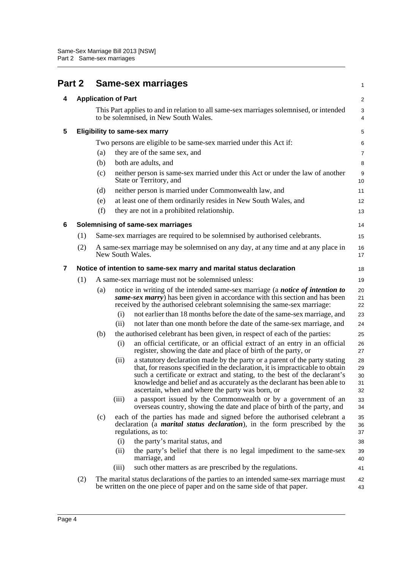<span id="page-9-4"></span><span id="page-9-3"></span><span id="page-9-2"></span><span id="page-9-1"></span><span id="page-9-0"></span>

| Part 2 |     |                            | <b>Same-sex marriages</b>                                                                                                                                                                                                                                                                                                                                                        | 1                          |  |  |
|--------|-----|----------------------------|----------------------------------------------------------------------------------------------------------------------------------------------------------------------------------------------------------------------------------------------------------------------------------------------------------------------------------------------------------------------------------|----------------------------|--|--|
| 4      |     | <b>Application of Part</b> |                                                                                                                                                                                                                                                                                                                                                                                  |                            |  |  |
|        |     |                            | This Part applies to and in relation to all same-sex marriages solemnised, or intended<br>to be solemnised, in New South Wales.                                                                                                                                                                                                                                                  | 3<br>4                     |  |  |
| 5      |     |                            | <b>Eligibility to same-sex marry</b>                                                                                                                                                                                                                                                                                                                                             | 5                          |  |  |
|        |     |                            | Two persons are eligible to be same-sex married under this Act if:                                                                                                                                                                                                                                                                                                               | 6                          |  |  |
|        |     | (a)                        | they are of the same sex, and                                                                                                                                                                                                                                                                                                                                                    | 7                          |  |  |
|        |     | (b)                        | both are adults, and                                                                                                                                                                                                                                                                                                                                                             | 8                          |  |  |
|        |     | (c)                        | neither person is same-sex married under this Act or under the law of another<br>State or Territory, and                                                                                                                                                                                                                                                                         | 9<br>10                    |  |  |
|        |     | (d)                        | neither person is married under Commonwealth law, and                                                                                                                                                                                                                                                                                                                            | 11                         |  |  |
|        |     | (e)                        | at least one of them ordinarily resides in New South Wales, and                                                                                                                                                                                                                                                                                                                  | 12                         |  |  |
|        |     | (f)                        | they are not in a prohibited relationship.                                                                                                                                                                                                                                                                                                                                       | 13                         |  |  |
| 6      |     |                            | Solemnising of same-sex marriages                                                                                                                                                                                                                                                                                                                                                | 14                         |  |  |
|        | (1) |                            | Same-sex marriages are required to be solemnised by authorised celebrants.                                                                                                                                                                                                                                                                                                       | 15                         |  |  |
|        | (2) |                            | A same-sex marriage may be solemnised on any day, at any time and at any place in<br>New South Wales.                                                                                                                                                                                                                                                                            | 16<br>17                   |  |  |
| 7      |     |                            | Notice of intention to same-sex marry and marital status declaration                                                                                                                                                                                                                                                                                                             | 18                         |  |  |
|        | (1) |                            | A same-sex marriage must not be solemnised unless:                                                                                                                                                                                                                                                                                                                               | 19                         |  |  |
|        |     | (a)                        | notice in writing of the intended same-sex marriage (a notice of intention to<br>same-sex marry) has been given in accordance with this section and has been<br>received by the authorised celebrant solemnising the same-sex marriage:                                                                                                                                          | 20<br>21<br>22             |  |  |
|        |     |                            | not earlier than 18 months before the date of the same-sex marriage, and<br>(i)                                                                                                                                                                                                                                                                                                  | 23                         |  |  |
|        |     |                            | not later than one month before the date of the same-sex marriage, and<br>(ii)                                                                                                                                                                                                                                                                                                   | 24                         |  |  |
|        |     | (b)                        | the authorised celebrant has been given, in respect of each of the parties:                                                                                                                                                                                                                                                                                                      | 25                         |  |  |
|        |     |                            | an official certificate, or an official extract of an entry in an official<br>(i)<br>register, showing the date and place of birth of the party, or                                                                                                                                                                                                                              | 26<br>27                   |  |  |
|        |     |                            | a statutory declaration made by the party or a parent of the party stating<br>(ii)<br>that, for reasons specified in the declaration, it is impracticable to obtain<br>such a certificate or extract and stating, to the best of the declarant's<br>knowledge and belief and as accurately as the declarant has been able to<br>ascertain, when and where the party was born, or | 28<br>29<br>30<br>31<br>32 |  |  |
|        |     |                            | a passport issued by the Commonwealth or by a government of an<br>(iii)<br>overseas country, showing the date and place of birth of the party, and                                                                                                                                                                                                                               | 33<br>34                   |  |  |
|        |     | (c)                        | each of the parties has made and signed before the authorised celebrant a<br>declaration (a <i>marital status declaration</i> ), in the form prescribed by the<br>regulations, as to:                                                                                                                                                                                            | 35<br>36<br>37             |  |  |
|        |     |                            | (i)<br>the party's marital status, and                                                                                                                                                                                                                                                                                                                                           | 38                         |  |  |
|        |     |                            | the party's belief that there is no legal impediment to the same-sex<br>(ii)<br>marriage, and                                                                                                                                                                                                                                                                                    | 39<br>40                   |  |  |
|        |     |                            | such other matters as are prescribed by the regulations.<br>(iii)                                                                                                                                                                                                                                                                                                                | 41                         |  |  |
|        | (2) |                            | The marital status declarations of the parties to an intended same-sex marriage must<br>be written on the one piece of paper and on the same side of that paper.                                                                                                                                                                                                                 | 42<br>43                   |  |  |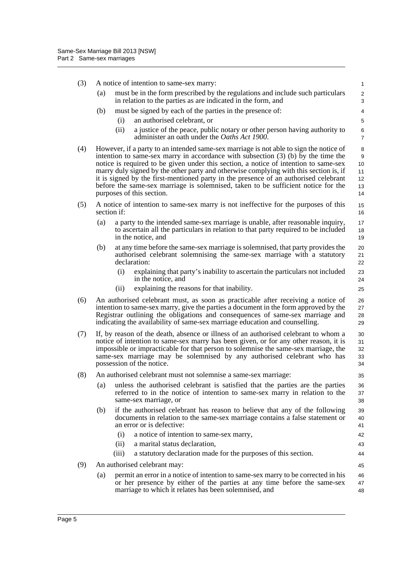(3) A notice of intention to same-sex marry: (a) must be in the form prescribed by the regulations and include such particulars in relation to the parties as are indicated in the form, and (b) must be signed by each of the parties in the presence of: (i) an authorised celebrant, or (ii) a justice of the peace, public notary or other person having authority to administer an oath under the *Oaths Act 1900*. (4) However, if a party to an intended same-sex marriage is not able to sign the notice of intention to same-sex marry in accordance with subsection (3) (b) by the time the notice is required to be given under this section, a notice of intention to same-sex marry duly signed by the other party and otherwise complying with this section is, if it is signed by the first-mentioned party in the presence of an authorised celebrant before the same-sex marriage is solemnised, taken to be sufficient notice for the purposes of this section. (5) A notice of intention to same-sex marry is not ineffective for the purposes of this section if: (a) a party to the intended same-sex marriage is unable, after reasonable inquiry, to ascertain all the particulars in relation to that party required to be included in the notice, and (b) at any time before the same-sex marriage is solemnised, that party provides the authorised celebrant solemnising the same-sex marriage with a statutory declaration: (i) explaining that party's inability to ascertain the particulars not included in the notice, and (ii) explaining the reasons for that inability. (6) An authorised celebrant must, as soon as practicable after receiving a notice of intention to same-sex marry, give the parties a document in the form approved by the Registrar outlining the obligations and consequences of same-sex marriage and indicating the availability of same-sex marriage education and counselling. (7) If, by reason of the death, absence or illness of an authorised celebrant to whom a notice of intention to same-sex marry has been given, or for any other reason, it is impossible or impracticable for that person to solemnise the same-sex marriage, the same-sex marriage may be solemnised by any authorised celebrant who has possession of the notice. (8) An authorised celebrant must not solemnise a same-sex marriage: (a) unless the authorised celebrant is satisfied that the parties are the parties referred to in the notice of intention to same-sex marry in relation to the same-sex marriage, or (b) if the authorised celebrant has reason to believe that any of the following documents in relation to the same-sex marriage contains a false statement or an error or is defective: (i) a notice of intention to same-sex marry, (ii) a marital status declaration, (iii) a statutory declaration made for the purposes of this section. (9) An authorised celebrant may: (a) permit an error in a notice of intention to same-sex marry to be corrected in his or her presence by either of the parties at any time before the same-sex marriage to which it relates has been solemnised, and 1  $\mathfrak{p}$ 3 4 5 6 7 8 9 10 11 12 13 14 15 16 17 18 19 20 21 22 23 24 25 26 27 28 29 30 31 32 33 34 35 36 37 38 39 40 41 42 43 44 45 46 47 48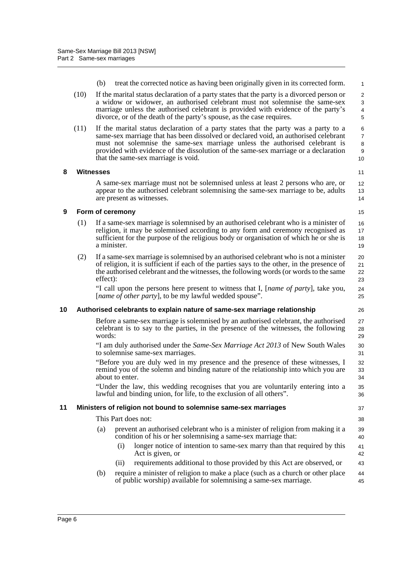- (b) treat the corrected notice as having been originally given in its corrected form.
- (10) If the marital status declaration of a party states that the party is a divorced person or a widow or widower, an authorised celebrant must not solemnise the same-sex marriage unless the authorised celebrant is provided with evidence of the party's divorce, or of the death of the party's spouse, as the case requires.
- (11) If the marital status declaration of a party states that the party was a party to a same-sex marriage that has been dissolved or declared void, an authorised celebrant must not solemnise the same-sex marriage unless the authorised celebrant is provided with evidence of the dissolution of the same-sex marriage or a declaration that the same-sex marriage is void.

#### <span id="page-11-0"></span>**8 Witnesses**

11 12

13 14 15

26

37 38

43

A same-sex marriage must not be solemnised unless at least 2 persons who are, or appear to the authorised celebrant solemnising the same-sex marriage to be, adults are present as witnesses.

### <span id="page-11-1"></span>**9 Form of ceremony**

- (1) If a same-sex marriage is solemnised by an authorised celebrant who is a minister of religion, it may be solemnised according to any form and ceremony recognised as sufficient for the purpose of the religious body or organisation of which he or she is a minister. 16 17 18 19
- (2) If a same-sex marriage is solemnised by an authorised celebrant who is not a minister of religion, it is sufficient if each of the parties says to the other, in the presence of the authorised celebrant and the witnesses, the following words (or words to the same effect):

"I call upon the persons here present to witness that I, [*name of party*], take you, [*name of other party*], to be my lawful wedded spouse".

#### <span id="page-11-2"></span>**10 Authorised celebrants to explain nature of same-sex marriage relationship**

Before a same-sex marriage is solemnised by an authorised celebrant, the authorised celebrant is to say to the parties, in the presence of the witnesses, the following words: 27 28 29

"I am duly authorised under the *Same-Sex Marriage Act 2013* of New South Wales to solemnise same-sex marriages.

"Before you are duly wed in my presence and the presence of these witnesses, I remind you of the solemn and binding nature of the relationship into which you are about to enter.

"Under the law, this wedding recognises that you are voluntarily entering into a lawful and binding union, for life, to the exclusion of all others".

#### <span id="page-11-3"></span>**11 Ministers of religion not bound to solemnise same-sex marriages**

This Part does not:

- (a) prevent an authorised celebrant who is a minister of religion from making it a condition of his or her solemnising a same-sex marriage that: 39 40
	- (i) longer notice of intention to same-sex marry than that required by this Act is given, or 41 42
	- (ii) requirements additional to those provided by this Act are observed, or
- (b) require a minister of religion to make a place (such as a church or other place of public worship) available for solemnising a same-sex marriage. 44 45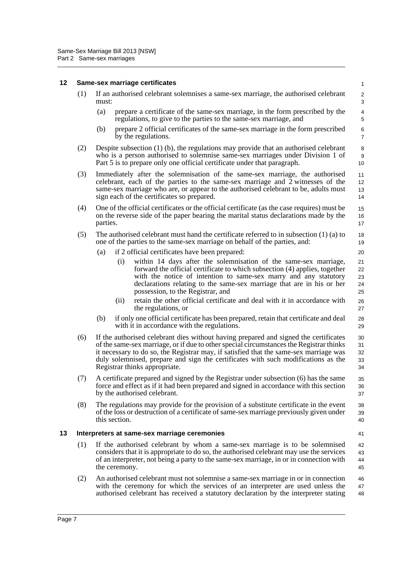#### <span id="page-12-1"></span><span id="page-12-0"></span>**12 Same-sex marriage certificates** (1) If an authorised celebrant solemnises a same-sex marriage, the authorised celebrant must: (a) prepare a certificate of the same-sex marriage, in the form prescribed by the regulations, to give to the parties to the same-sex marriage, and (b) prepare 2 official certificates of the same-sex marriage in the form prescribed by the regulations. (2) Despite subsection (1) (b), the regulations may provide that an authorised celebrant who is a person authorised to solemnise same-sex marriages under Division 1 of Part 5 is to prepare only one official certificate under that paragraph. (3) Immediately after the solemnisation of the same-sex marriage, the authorised celebrant, each of the parties to the same-sex marriage and 2 witnesses of the same-sex marriage who are, or appear to the authorised celebrant to be, adults must sign each of the certificates so prepared. (4) One of the official certificates or the official certificate (as the case requires) must be on the reverse side of the paper bearing the marital status declarations made by the parties. (5) The authorised celebrant must hand the certificate referred to in subsection (1) (a) to one of the parties to the same-sex marriage on behalf of the parties, and: (a) if 2 official certificates have been prepared: (i) within 14 days after the solemnisation of the same-sex marriage, forward the official certificate to which subsection (4) applies, together with the notice of intention to same-sex marry and any statutory declarations relating to the same-sex marriage that are in his or her possession, to the Registrar, and (ii) retain the other official certificate and deal with it in accordance with the regulations, or (b) if only one official certificate has been prepared, retain that certificate and deal with it in accordance with the regulations. (6) If the authorised celebrant dies without having prepared and signed the certificates of the same-sex marriage, or if due to other special circumstances the Registrar thinks it necessary to do so, the Registrar may, if satisfied that the same-sex marriage was duly solemnised, prepare and sign the certificates with such modifications as the Registrar thinks appropriate. (7) A certificate prepared and signed by the Registrar under subsection (6) has the same force and effect as if it had been prepared and signed in accordance with this section by the authorised celebrant. (8) The regulations may provide for the provision of a substitute certificate in the event of the loss or destruction of a certificate of same-sex marriage previously given under this section. **13 Interpreters at same-sex marriage ceremonies** (1) If the authorised celebrant by whom a same-sex marriage is to be solemnised considers that it is appropriate to do so, the authorised celebrant may use the services of an interpreter, not being a party to the same-sex marriage, in or in connection with the ceremony. (2) An authorised celebrant must not solemnise a same-sex marriage in or in connection with the ceremony for which the services of an interpreter are used unless the authorised celebrant has received a statutory declaration by the interpreter stating 1  $\mathfrak{p}$ 3 4 5 6 7 8 9  $10$ 11 12 13 14 15 16 17 18 19  $20$ 21 22 23 24 25 26 27 28 29 30 31 32 33 34 35 36 37 38 39 40 41 42 43 44 45 46 47 48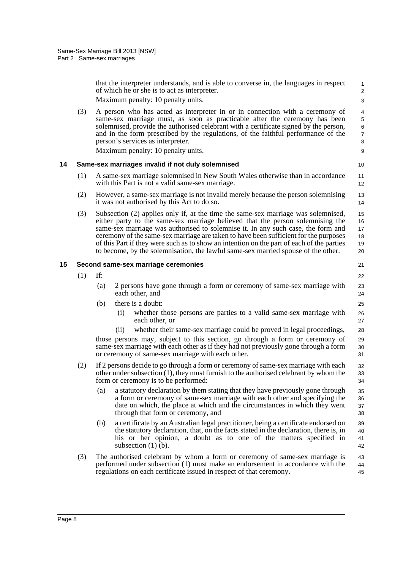that the interpreter understands, and is able to converse in, the languages in respect of which he or she is to act as interpreter. Maximum penalty: 10 penalty units.

21

(3) A person who has acted as interpreter in or in connection with a ceremony of same-sex marriage must, as soon as practicable after the ceremony has been solemnised, provide the authorised celebrant with a certificate signed by the person, and in the form prescribed by the regulations, of the faithful performance of the person's services as interpreter.

Maximum penalty: 10 penalty units.

#### <span id="page-13-0"></span>**14 Same-sex marriages invalid if not duly solemnised**

- (1) A same-sex marriage solemnised in New South Wales otherwise than in accordance with this Part is not a valid same-sex marriage.
- (2) However, a same-sex marriage is not invalid merely because the person solemnising it was not authorised by this Act to do so.
- (3) Subsection (2) applies only if, at the time the same-sex marriage was solemnised, either party to the same-sex marriage believed that the person solemnising the same-sex marriage was authorised to solemnise it. In any such case, the form and ceremony of the same-sex marriage are taken to have been sufficient for the purposes of this Part if they were such as to show an intention on the part of each of the parties to become, by the solemnisation, the lawful same-sex married spouse of the other. 15 16 17 18 19 20

#### <span id="page-13-1"></span>**15 Second same-sex marriage ceremonies**

(1) If: (a) 2 persons have gone through a form or ceremony of same-sex marriage with each other, and (b) there is a doubt: (i) whether those persons are parties to a valid same-sex marriage with each other, or (ii) whether their same-sex marriage could be proved in legal proceedings, those persons may, subject to this section, go through a form or ceremony of same-sex marriage with each other as if they had not previously gone through a form or ceremony of same-sex marriage with each other. (2) If 2 persons decide to go through a form or ceremony of same-sex marriage with each other under subsection (1), they must furnish to the authorised celebrant by whom the form or ceremony is to be performed: (a) a statutory declaration by them stating that they have previously gone through a form or ceremony of same-sex marriage with each other and specifying the date on which, the place at which and the circumstances in which they went through that form or ceremony, and (b) a certificate by an Australian legal practitioner, being a certificate endorsed on the statutory declaration, that, on the facts stated in the declaration, there is, in his or her opinion, a doubt as to one of the matters specified in subsection  $(1)$  (b). (3) The authorised celebrant by whom a form or ceremony of same-sex marriage is 22 23 24 25 26 27 28 29 30 31 32 33 34 35 36 37 38 39 40 41 42

performed under subsection (1) must make an endorsement in accordance with the regulations on each certificate issued in respect of that ceremony. 43 44 45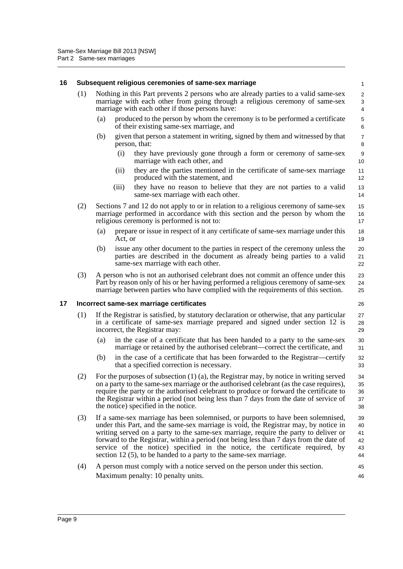#### <span id="page-14-0"></span>**16 Subsequent religious ceremonies of same-sex marriage** (1) Nothing in this Part prevents 2 persons who are already parties to a valid same-sex marriage with each other from going through a religious ceremony of same-sex marriage with each other if those persons have: (a) produced to the person by whom the ceremony is to be performed a certificate of their existing same-sex marriage, and (b) given that person a statement in writing, signed by them and witnessed by that person, that: (i) they have previously gone through a form or ceremony of same-sex marriage with each other, and (ii) they are the parties mentioned in the certificate of same-sex marriage produced with the statement, and (iii) they have no reason to believe that they are not parties to a valid same-sex marriage with each other. (2) Sections 7 and 12 do not apply to or in relation to a religious ceremony of same-sex marriage performed in accordance with this section and the person by whom the religious ceremony is performed is not to: (a) prepare or issue in respect of it any certificate of same-sex marriage under this Act, or (b) issue any other document to the parties in respect of the ceremony unless the parties are described in the document as already being parties to a valid same-sex marriage with each other. (3) A person who is not an authorised celebrant does not commit an offence under this Part by reason only of his or her having performed a religious ceremony of same-sex marriage between parties who have complied with the requirements of this section. **17 Incorrect same-sex marriage certificates** (1) If the Registrar is satisfied, by statutory declaration or otherwise, that any particular in a certificate of same-sex marriage prepared and signed under section 12 is incorrect, the Registrar may: (a) in the case of a certificate that has been handed to a party to the same-sex marriage or retained by the authorised celebrant—correct the certificate, and (b) in the case of a certificate that has been forwarded to the Registrar—certify that a specified correction is necessary. (2) For the purposes of subsection (1) (a), the Registrar may, by notice in writing served on a party to the same-sex marriage or the authorised celebrant (as the case requires), require the party or the authorised celebrant to produce or forward the certificate to the Registrar within a period (not being less than 7 days from the date of service of the notice) specified in the notice. (3) If a same-sex marriage has been solemnised, or purports to have been solemnised, under this Part, and the same-sex marriage is void, the Registrar may, by notice in writing served on a party to the same-sex marriage, require the party to deliver or forward to the Registrar, within a period (not being less than 7 days from the date of service of the notice) specified in the notice, the certificate required, by section 12 (5), to be handed to a party to the same-sex marriage. (4) A person must comply with a notice served on the person under this section. 1  $\mathfrak{p}$ 3 4 5 6 7 8 9  $1<sub>0</sub>$ 11 12 13 14 15 16 17 18 19 20 21 22 23 24 25 26 27 28 29 30 31 32 33 34 35 36 37 38 39 40 41 42 43 44 45

46

<span id="page-14-1"></span>Maximum penalty: 10 penalty units.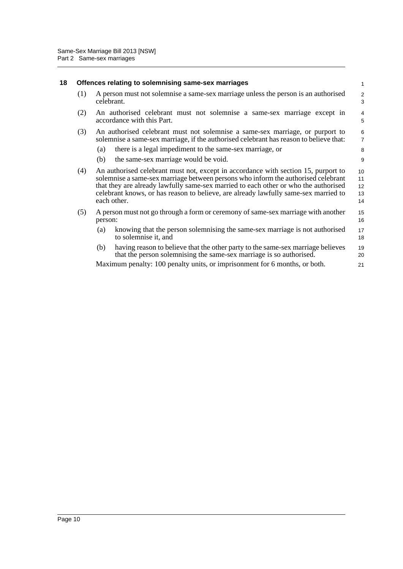<span id="page-15-0"></span>

| 18 | Offences relating to solemnising same-sex marriages |                                                                                                                                                                                                                                                                                                                                                                      |                                  |  |  |  |
|----|-----------------------------------------------------|----------------------------------------------------------------------------------------------------------------------------------------------------------------------------------------------------------------------------------------------------------------------------------------------------------------------------------------------------------------------|----------------------------------|--|--|--|
|    | (1)                                                 | A person must not solemnise a same-sex marriage unless the person is an authorised<br>celebrant.                                                                                                                                                                                                                                                                     | $\overline{c}$<br>3              |  |  |  |
|    | (2)                                                 | An authorised celebrant must not solemnise a same-sex marriage except in<br>accordance with this Part.                                                                                                                                                                                                                                                               | 4<br>5                           |  |  |  |
|    | (3)                                                 | An authorised celebrant must not solemnise a same-sex marriage, or purport to<br>solemnise a same-sex marriage, if the authorised celebrant has reason to believe that:                                                                                                                                                                                              | $6\phantom{a}$<br>$\overline{7}$ |  |  |  |
|    |                                                     | there is a legal impediment to the same-sex marriage, or<br>(a)                                                                                                                                                                                                                                                                                                      | 8                                |  |  |  |
|    |                                                     | the same-sex marriage would be void.<br>(b)                                                                                                                                                                                                                                                                                                                          | 9                                |  |  |  |
|    | (4)                                                 | An authorised celebrant must not, except in accordance with section 15, purport to<br>solemnise a same-sex marriage between persons who inform the authorised celebrant<br>that they are already lawfully same-sex married to each other or who the authorised<br>celebrant knows, or has reason to believe, are already lawfully same-sex married to<br>each other. | 10<br>11<br>12<br>13<br>14       |  |  |  |
|    | (5)                                                 | A person must not go through a form or ceremony of same-sex marriage with another<br>person:                                                                                                                                                                                                                                                                         | 15<br>16                         |  |  |  |
|    |                                                     | knowing that the person solemnising the same-sex marriage is not authorised<br>(a)<br>to solemnise it, and                                                                                                                                                                                                                                                           | 17<br>18                         |  |  |  |
|    |                                                     | having reason to believe that the other party to the same-sex marriage believes<br>(b)<br>that the person solemnising the same-sex marriage is so authorised.                                                                                                                                                                                                        | 19<br>20                         |  |  |  |
|    |                                                     | Maximum penalty: 100 penalty units, or imprisonment for 6 months, or both.                                                                                                                                                                                                                                                                                           | 21                               |  |  |  |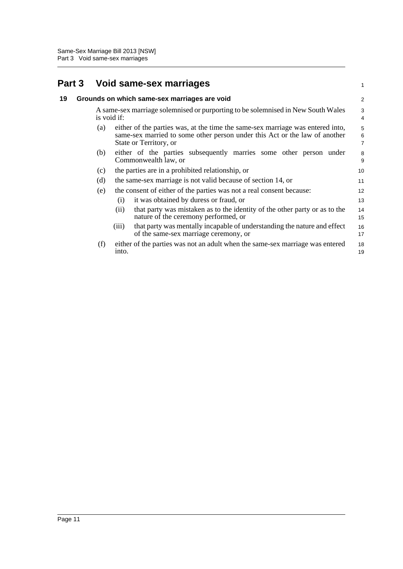## <span id="page-16-1"></span><span id="page-16-0"></span>**Part 3 Void same-sex marriages**

|    | Part 3 |             | Void same-sex marriages                                                                                                                                                                | $\mathbf{1}$                            |
|----|--------|-------------|----------------------------------------------------------------------------------------------------------------------------------------------------------------------------------------|-----------------------------------------|
| 19 |        |             | Grounds on which same-sex marriages are void                                                                                                                                           | $\overline{2}$                          |
|    |        | is void if: | A same-sex marriage solemnised or purporting to be solemnised in New South Wales                                                                                                       | 3<br>$\overline{4}$                     |
|    |        | (a)         | either of the parties was, at the time the same-sex marriage was entered into,<br>same-sex married to some other person under this Act or the law of another<br>State or Territory, or | 5<br>$\boldsymbol{6}$<br>$\overline{7}$ |
|    |        | (b)         | either of the parties subsequently marries some other person under<br>Commonwealth law, or                                                                                             | 8<br>9                                  |
|    |        | (c)         | the parties are in a prohibited relationship, or                                                                                                                                       | 10                                      |
|    |        | (d)         | the same-sex marriage is not valid because of section 14, or                                                                                                                           | 11                                      |
|    |        | (e)         | the consent of either of the parties was not a real consent because:<br>it was obtained by duress or fraud, or<br>(i)                                                                  | 12<br>13                                |
|    |        |             | that party was mistaken as to the identity of the other party or as to the<br>(i)<br>nature of the ceremony performed, or                                                              | 14<br>15                                |
|    |        |             | that party was mentally incapable of understanding the nature and effect<br>(iii)<br>of the same-sex marriage ceremony, or                                                             | 16<br>17                                |
|    |        | (f)         | either of the parties was not an adult when the same-sex marriage was entered<br>into.                                                                                                 | 18<br>19                                |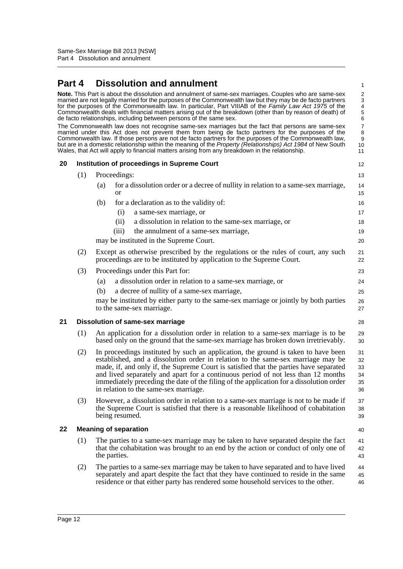## <span id="page-17-0"></span>**Part 4 Dissolution and annulment**

<span id="page-17-3"></span><span id="page-17-2"></span><span id="page-17-1"></span>

| Part 4 |     | <b>Dissolution and annulment</b>                                                                                                                                                                                                                                                                                                                                                                                                                                                                                                                                                                                                                                                                                                                                                                                                                                                                                                                                                                                                                        | 1                                                                                                |
|--------|-----|---------------------------------------------------------------------------------------------------------------------------------------------------------------------------------------------------------------------------------------------------------------------------------------------------------------------------------------------------------------------------------------------------------------------------------------------------------------------------------------------------------------------------------------------------------------------------------------------------------------------------------------------------------------------------------------------------------------------------------------------------------------------------------------------------------------------------------------------------------------------------------------------------------------------------------------------------------------------------------------------------------------------------------------------------------|--------------------------------------------------------------------------------------------------|
|        |     | Note. This Part is about the dissolution and annulment of same-sex marriages. Couples who are same-sex<br>married are not legally married for the purposes of the Commonwealth law but they may be de facto partners<br>for the purposes of the Commonwealth law. In particular, Part VIIIAB of the Family Law Act 1975 of the<br>Commonwealth deals with financial matters arising out of the breakdown (other than by reason of death) of<br>de facto relationships, including between persons of the same sex.<br>The Commonwealth law does not recognise same-sex marriages but the fact that persons are same-sex<br>married under this Act does not prevent them from being de facto partners for the purposes of the<br>Commonwealth law. If those persons are not de facto partners for the purposes of the Commonwealth law,<br>but are in a domestic relationship within the meaning of the Property (Relationships) Act 1984 of New South<br>Wales, that Act will apply to financial matters arising from any breakdown in the relationship. | $\overline{\mathbf{c}}$<br>3<br>$\overline{4}$<br>5<br>6<br>$\overline{7}$<br>8<br>9<br>10<br>11 |
| 20     |     | <b>Institution of proceedings in Supreme Court</b>                                                                                                                                                                                                                                                                                                                                                                                                                                                                                                                                                                                                                                                                                                                                                                                                                                                                                                                                                                                                      | 12                                                                                               |
|        | (1) | Proceedings:                                                                                                                                                                                                                                                                                                                                                                                                                                                                                                                                                                                                                                                                                                                                                                                                                                                                                                                                                                                                                                            | 13                                                                                               |
|        |     | for a dissolution order or a decree of nullity in relation to a same-sex marriage,<br>(a)<br><b>or</b>                                                                                                                                                                                                                                                                                                                                                                                                                                                                                                                                                                                                                                                                                                                                                                                                                                                                                                                                                  | 14<br>15                                                                                         |
|        |     | for a declaration as to the validity of:<br>(b)                                                                                                                                                                                                                                                                                                                                                                                                                                                                                                                                                                                                                                                                                                                                                                                                                                                                                                                                                                                                         | 16                                                                                               |
|        |     | a same-sex marriage, or<br>(i)                                                                                                                                                                                                                                                                                                                                                                                                                                                                                                                                                                                                                                                                                                                                                                                                                                                                                                                                                                                                                          | 17                                                                                               |
|        |     | a dissolution in relation to the same-sex marriage, or<br>(ii)                                                                                                                                                                                                                                                                                                                                                                                                                                                                                                                                                                                                                                                                                                                                                                                                                                                                                                                                                                                          | 18                                                                                               |
|        |     | (iii)<br>the annulment of a same-sex marriage,                                                                                                                                                                                                                                                                                                                                                                                                                                                                                                                                                                                                                                                                                                                                                                                                                                                                                                                                                                                                          | 19                                                                                               |
|        |     | may be instituted in the Supreme Court.                                                                                                                                                                                                                                                                                                                                                                                                                                                                                                                                                                                                                                                                                                                                                                                                                                                                                                                                                                                                                 | 20                                                                                               |
|        | (2) | Except as otherwise prescribed by the regulations or the rules of court, any such<br>proceedings are to be instituted by application to the Supreme Court.                                                                                                                                                                                                                                                                                                                                                                                                                                                                                                                                                                                                                                                                                                                                                                                                                                                                                              | 21<br>22                                                                                         |
|        | (3) | Proceedings under this Part for:                                                                                                                                                                                                                                                                                                                                                                                                                                                                                                                                                                                                                                                                                                                                                                                                                                                                                                                                                                                                                        | 23                                                                                               |
|        |     | a dissolution order in relation to a same-sex marriage, or<br>(a)                                                                                                                                                                                                                                                                                                                                                                                                                                                                                                                                                                                                                                                                                                                                                                                                                                                                                                                                                                                       | 24                                                                                               |
|        |     | a decree of nullity of a same-sex marriage,<br>(b)                                                                                                                                                                                                                                                                                                                                                                                                                                                                                                                                                                                                                                                                                                                                                                                                                                                                                                                                                                                                      | 25                                                                                               |
|        |     | may be instituted by either party to the same-sex marriage or jointly by both parties<br>to the same-sex marriage.                                                                                                                                                                                                                                                                                                                                                                                                                                                                                                                                                                                                                                                                                                                                                                                                                                                                                                                                      | 26<br>27                                                                                         |
| 21     |     | <b>Dissolution of same-sex marriage</b>                                                                                                                                                                                                                                                                                                                                                                                                                                                                                                                                                                                                                                                                                                                                                                                                                                                                                                                                                                                                                 | 28                                                                                               |
|        | (1) | An application for a dissolution order in relation to a same-sex marriage is to be<br>based only on the ground that the same-sex marriage has broken down irretrievably.                                                                                                                                                                                                                                                                                                                                                                                                                                                                                                                                                                                                                                                                                                                                                                                                                                                                                | 29<br>30                                                                                         |
|        | (2) | In proceedings instituted by such an application, the ground is taken to have been<br>established, and a dissolution order in relation to the same-sex marriage may be<br>made, if, and only if, the Supreme Court is satisfied that the parties have separated<br>and lived separately and apart for a continuous period of not less than 12 months<br>immediately preceding the date of the filing of the application for a dissolution order<br>in relation to the same-sex marriage.                                                                                                                                                                                                                                                                                                                                                                                                                                                                                                                                                                | 31<br>32<br>33<br>34<br>35<br>36                                                                 |
|        | (3) | However, a dissolution order in relation to a same-sex marriage is not to be made if<br>the Supreme Court is satisfied that there is a reasonable likelihood of cohabitation<br>being resumed.                                                                                                                                                                                                                                                                                                                                                                                                                                                                                                                                                                                                                                                                                                                                                                                                                                                          | 37<br>38<br>39                                                                                   |
| 22     |     | <b>Meaning of separation</b>                                                                                                                                                                                                                                                                                                                                                                                                                                                                                                                                                                                                                                                                                                                                                                                                                                                                                                                                                                                                                            | 40                                                                                               |
|        | (1) | The parties to a same-sex marriage may be taken to have separated despite the fact<br>that the cohabitation was brought to an end by the action or conduct of only one of<br>the parties.                                                                                                                                                                                                                                                                                                                                                                                                                                                                                                                                                                                                                                                                                                                                                                                                                                                               | 41<br>42<br>43                                                                                   |
|        | (2) | The parties to a same-sex marriage may be taken to have separated and to have lived<br>separately and apart despite the fact that they have continued to reside in the same<br>residence or that either party has rendered some household services to the other.                                                                                                                                                                                                                                                                                                                                                                                                                                                                                                                                                                                                                                                                                                                                                                                        | 44<br>45<br>46                                                                                   |
|        |     |                                                                                                                                                                                                                                                                                                                                                                                                                                                                                                                                                                                                                                                                                                                                                                                                                                                                                                                                                                                                                                                         |                                                                                                  |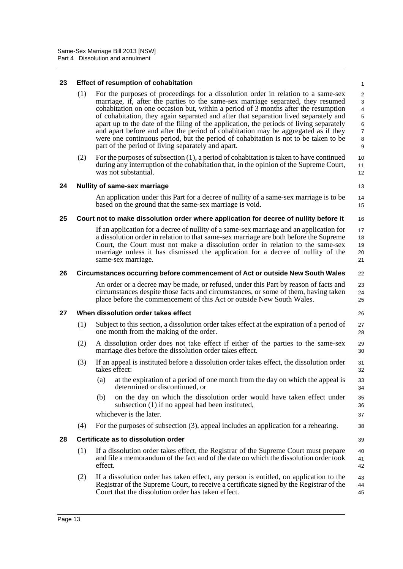#### <span id="page-18-0"></span>**23 Effect of resumption of cohabitation**

- (1) For the purposes of proceedings for a dissolution order in relation to a same-sex marriage, if, after the parties to the same-sex marriage separated, they resumed cohabitation on one occasion but, within a period of 3 months after the resumption of cohabitation, they again separated and after that separation lived separately and apart up to the date of the filing of the application, the periods of living separately and apart before and after the period of cohabitation may be aggregated as if they were one continuous period, but the period of cohabitation is not to be taken to be part of the period of living separately and apart.
- (2) For the purposes of subsection (1), a period of cohabitation is taken to have continued during any interruption of the cohabitation that, in the opinion of the Supreme Court, was not substantial.

12 13

14 15

16

22

26

39

#### <span id="page-18-1"></span>**24 Nullity of same-sex marriage**

An application under this Part for a decree of nullity of a same-sex marriage is to be based on the ground that the same-sex marriage is void.

#### <span id="page-18-2"></span>**25 Court not to make dissolution order where application for decree of nullity before it**

If an application for a decree of nullity of a same-sex marriage and an application for a dissolution order in relation to that same-sex marriage are both before the Supreme Court, the Court must not make a dissolution order in relation to the same-sex marriage unless it has dismissed the application for a decree of nullity of the same-sex marriage. 17 18 19 20 21

#### <span id="page-18-3"></span>**26 Circumstances occurring before commencement of Act or outside New South Wales**

An order or a decree may be made, or refused, under this Part by reason of facts and circumstances despite those facts and circumstances, or some of them, having taken place before the commencement of this Act or outside New South Wales.  $23$ 24 25

#### <span id="page-18-4"></span>**27 When dissolution order takes effect**

- (1) Subject to this section, a dissolution order takes effect at the expiration of a period of one month from the making of the order. 27 28
- (2) A dissolution order does not take effect if either of the parties to the same-sex marriage dies before the dissolution order takes effect. 29 30
- (3) If an appeal is instituted before a dissolution order takes effect, the dissolution order takes effect:
	- (a) at the expiration of a period of one month from the day on which the appeal is determined or discontinued, or
	- (b) on the day on which the dissolution order would have taken effect under subsection (1) if no appeal had been instituted,

whichever is the later.

(4) For the purposes of subsection (3), appeal includes an application for a rehearing.

#### <span id="page-18-5"></span>**28 Certificate as to dissolution order**

- (1) If a dissolution order takes effect, the Registrar of the Supreme Court must prepare and file a memorandum of the fact and of the date on which the dissolution order took effect. 40 41 42
- (2) If a dissolution order has taken effect, any person is entitled, on application to the Registrar of the Supreme Court, to receive a certificate signed by the Registrar of the Court that the dissolution order has taken effect. 43 44 45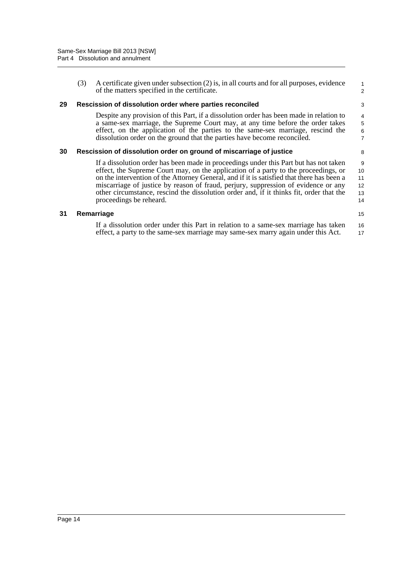<span id="page-19-0"></span>

| 31 |     | Remarriage                                                                                                                                                                                                                                                                                                                                                                                                                                                                            | 15                                              |
|----|-----|---------------------------------------------------------------------------------------------------------------------------------------------------------------------------------------------------------------------------------------------------------------------------------------------------------------------------------------------------------------------------------------------------------------------------------------------------------------------------------------|-------------------------------------------------|
|    |     | If a dissolution order has been made in proceedings under this Part but has not taken<br>effect, the Supreme Court may, on the application of a party to the proceedings, or<br>on the intervention of the Attorney General, and if it is satisfied that there has been a<br>miscarriage of justice by reason of fraud, perjury, suppression of evidence or any<br>other circumstance, rescind the dissolution order and, if it thinks fit, order that the<br>proceedings be reheard. | 9<br>10<br>11<br>12<br>13<br>14                 |
| 30 |     | Rescission of dissolution order on ground of miscarriage of justice                                                                                                                                                                                                                                                                                                                                                                                                                   | 8                                               |
|    |     | Despite any provision of this Part, if a dissolution order has been made in relation to<br>a same-sex marriage, the Supreme Court may, at any time before the order takes<br>effect, on the application of the parties to the same-sex marriage, rescind the<br>dissolution order on the ground that the parties have become reconciled.                                                                                                                                              | $\begin{array}{c} 4 \\ 5 \\ 6 \end{array}$<br>7 |
| 29 |     | Rescission of dissolution order where parties reconciled                                                                                                                                                                                                                                                                                                                                                                                                                              | 3                                               |
|    | (3) | A certificate given under subsection (2) is, in all courts and for all purposes, evidence<br>of the matters specified in the certificate.                                                                                                                                                                                                                                                                                                                                             | 1<br>$\overline{2}$                             |

If a dissolution order under this Part in relation to a same-sex marriage has taken effect, a party to the same-sex marriage may same-sex marry again under this Act. 16 17

<span id="page-19-2"></span><span id="page-19-1"></span>**31 Remarriage**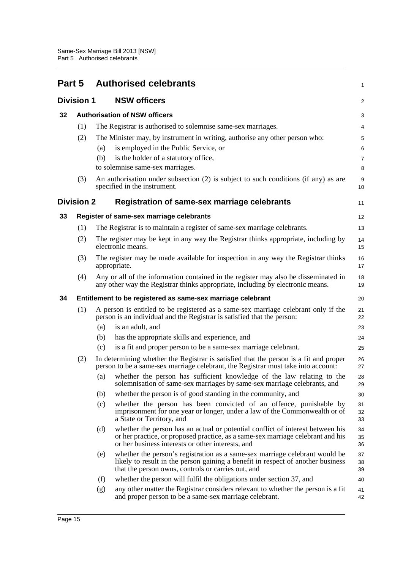<span id="page-20-5"></span><span id="page-20-4"></span><span id="page-20-3"></span><span id="page-20-2"></span><span id="page-20-1"></span><span id="page-20-0"></span>

| Part 5 |                   |     | <b>Authorised celebrants</b>                                                                                                                                                                                           | 1                   |
|--------|-------------------|-----|------------------------------------------------------------------------------------------------------------------------------------------------------------------------------------------------------------------------|---------------------|
|        | <b>Division 1</b> |     | <b>NSW officers</b>                                                                                                                                                                                                    | 2                   |
| 32     |                   |     | <b>Authorisation of NSW officers</b>                                                                                                                                                                                   | 3                   |
|        | (1)               |     | The Registrar is authorised to solemnise same-sex marriages.                                                                                                                                                           | 4                   |
|        | (2)               | (a) | The Minister may, by instrument in writing, authorise any other person who:<br>is employed in the Public Service, or                                                                                                   | 5<br>6              |
|        |                   | (b) | is the holder of a statutory office,<br>to solemnise same-sex marriages.                                                                                                                                               | $\overline{7}$<br>8 |
|        | (3)               |     | An authorisation under subsection (2) is subject to such conditions (if any) as are<br>specified in the instrument.                                                                                                    | 9<br>10             |
|        | <b>Division 2</b> |     | Registration of same-sex marriage celebrants                                                                                                                                                                           | 11                  |
| 33     |                   |     | Register of same-sex marriage celebrants                                                                                                                                                                               | 12                  |
|        | (1)               |     | The Registrar is to maintain a register of same-sex marriage celebrants.                                                                                                                                               | 13                  |
|        | (2)               |     | The register may be kept in any way the Registrar thinks appropriate, including by<br>electronic means.                                                                                                                | 14<br>15            |
|        | (3)               |     | The register may be made available for inspection in any way the Registrar thinks<br>appropriate.                                                                                                                      | 16<br>17            |
|        | (4)               |     | Any or all of the information contained in the register may also be disseminated in<br>any other way the Registrar thinks appropriate, including by electronic means.                                                  | 18<br>19            |
| 34     |                   |     | Entitlement to be registered as same-sex marriage celebrant                                                                                                                                                            | 20                  |
|        | (1)               |     | A person is entitled to be registered as a same-sex marriage celebrant only if the<br>person is an individual and the Registrar is satisfied that the person:                                                          | 21<br>22            |
|        |                   | (a) | is an adult, and                                                                                                                                                                                                       | 23                  |
|        |                   | (b) | has the appropriate skills and experience, and                                                                                                                                                                         | 24                  |
|        |                   | (c) | is a fit and proper person to be a same-sex marriage celebrant.                                                                                                                                                        | 25                  |
|        | (2)               |     | In determining whether the Registrar is satisfied that the person is a fit and proper<br>person to be a same-sex marriage celebrant, the Registrar must take into account:                                             | 26<br>27            |
|        |                   | (a) | whether the person has sufficient knowledge of the law relating to the<br>solemnisation of same-sex marriages by same-sex marriage celebrants, and                                                                     | 28<br>29            |
|        |                   | (b) | whether the person is of good standing in the community, and                                                                                                                                                           | 30                  |
|        |                   | (c) | whether the person has been convicted of an offence, punishable by<br>imprisonment for one year or longer, under a law of the Commonwealth or of<br>a State or Territory, and                                          | 31<br>32<br>33      |
|        |                   | (d) | whether the person has an actual or potential conflict of interest between his<br>or her practice, or proposed practice, as a same-sex marriage celebrant and his<br>or her business interests or other interests, and | 34<br>35<br>36      |
|        |                   | (e) | whether the person's registration as a same-sex marriage celebrant would be<br>likely to result in the person gaining a benefit in respect of another business<br>that the person owns, controls or carries out, and   | 37<br>38<br>39      |
|        |                   | (f) | whether the person will fulfil the obligations under section 37, and                                                                                                                                                   | 40                  |
|        |                   | (g) | any other matter the Registrar considers relevant to whether the person is a fit<br>and proper person to be a same-sex marriage celebrant.                                                                             | 41<br>42            |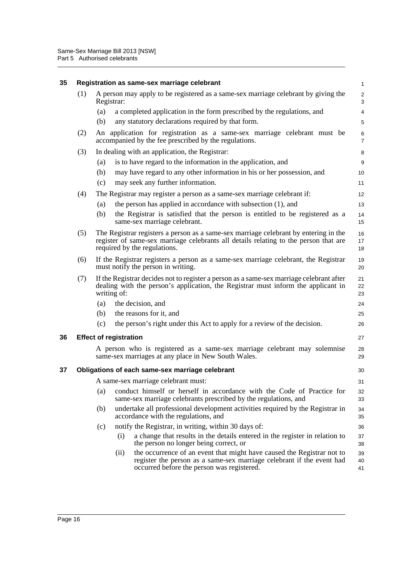<span id="page-21-2"></span><span id="page-21-1"></span><span id="page-21-0"></span>

| 35 |     | Registration as same-sex marriage celebrant                                                                                                                                                                  |                                                                                                                                                                               |                                                                                                                                                                                               |                              |  |  |  |
|----|-----|--------------------------------------------------------------------------------------------------------------------------------------------------------------------------------------------------------------|-------------------------------------------------------------------------------------------------------------------------------------------------------------------------------|-----------------------------------------------------------------------------------------------------------------------------------------------------------------------------------------------|------------------------------|--|--|--|
|    | (1) | Registrar:                                                                                                                                                                                                   |                                                                                                                                                                               | A person may apply to be registered as a same-sex marriage celebrant by giving the                                                                                                            | $\overline{\mathbf{c}}$<br>3 |  |  |  |
|    |     | (a)                                                                                                                                                                                                          |                                                                                                                                                                               | a completed application in the form prescribed by the regulations, and                                                                                                                        | 4                            |  |  |  |
|    |     | (b)                                                                                                                                                                                                          |                                                                                                                                                                               | any statutory declarations required by that form.                                                                                                                                             | 5                            |  |  |  |
|    | (2) |                                                                                                                                                                                                              |                                                                                                                                                                               | An application for registration as a same-sex marriage celebrant must be<br>accompanied by the fee prescribed by the regulations.                                                             | 6<br>$\overline{7}$          |  |  |  |
|    | (3) |                                                                                                                                                                                                              |                                                                                                                                                                               | In dealing with an application, the Registrar:                                                                                                                                                | 8                            |  |  |  |
|    |     | (a)                                                                                                                                                                                                          |                                                                                                                                                                               | is to have regard to the information in the application, and                                                                                                                                  | 9                            |  |  |  |
|    |     | (b)                                                                                                                                                                                                          |                                                                                                                                                                               | may have regard to any other information in his or her possession, and                                                                                                                        | 10                           |  |  |  |
|    |     | (c)                                                                                                                                                                                                          |                                                                                                                                                                               | may seek any further information.                                                                                                                                                             | 11                           |  |  |  |
|    | (4) |                                                                                                                                                                                                              |                                                                                                                                                                               | The Registrar may register a person as a same-sex marriage celebrant if:                                                                                                                      | 12                           |  |  |  |
|    |     | (a)                                                                                                                                                                                                          |                                                                                                                                                                               | the person has applied in accordance with subsection (1), and                                                                                                                                 | 13                           |  |  |  |
|    |     | (b)                                                                                                                                                                                                          |                                                                                                                                                                               | the Registrar is satisfied that the person is entitled to be registered as a<br>same-sex marriage celebrant.                                                                                  | 14<br>15                     |  |  |  |
|    | (5) | The Registrar registers a person as a same-sex marriage celebrant by entering in the<br>register of same-sex marriage celebrants all details relating to the person that are<br>required by the regulations. |                                                                                                                                                                               |                                                                                                                                                                                               |                              |  |  |  |
|    | (6) | If the Registrar registers a person as a same-sex marriage celebrant, the Registrar<br>must notify the person in writing.                                                                                    |                                                                                                                                                                               |                                                                                                                                                                                               |                              |  |  |  |
|    | (7) | writing of:                                                                                                                                                                                                  | If the Registrar decides not to register a person as a same-sex marriage celebrant after<br>dealing with the person's application, the Registrar must inform the applicant in | 21<br>22<br>23                                                                                                                                                                                |                              |  |  |  |
|    |     | (a)                                                                                                                                                                                                          |                                                                                                                                                                               | the decision, and                                                                                                                                                                             | 24                           |  |  |  |
|    |     | (b)                                                                                                                                                                                                          |                                                                                                                                                                               | the reasons for it, and                                                                                                                                                                       | 25                           |  |  |  |
|    |     | (c)                                                                                                                                                                                                          |                                                                                                                                                                               | the person's right under this Act to apply for a review of the decision.                                                                                                                      | 26                           |  |  |  |
| 36 |     |                                                                                                                                                                                                              | <b>Effect of registration</b>                                                                                                                                                 |                                                                                                                                                                                               | 27                           |  |  |  |
|    |     |                                                                                                                                                                                                              |                                                                                                                                                                               | A person who is registered as a same-sex marriage celebrant may solemnise<br>same-sex marriages at any place in New South Wales.                                                              | 28<br>29                     |  |  |  |
| 37 |     |                                                                                                                                                                                                              |                                                                                                                                                                               | Obligations of each same-sex marriage celebrant                                                                                                                                               | 30                           |  |  |  |
|    |     |                                                                                                                                                                                                              |                                                                                                                                                                               | A same-sex marriage celebrant must:                                                                                                                                                           | 31                           |  |  |  |
|    |     | (a)                                                                                                                                                                                                          |                                                                                                                                                                               | conduct himself or herself in accordance with the Code of Practice for<br>same-sex marriage celebrants prescribed by the regulations, and                                                     | 32<br>33                     |  |  |  |
|    |     | (b)                                                                                                                                                                                                          |                                                                                                                                                                               | undertake all professional development activities required by the Registrar in<br>accordance with the regulations, and                                                                        | 34<br>35                     |  |  |  |
|    |     | (c)                                                                                                                                                                                                          |                                                                                                                                                                               | notify the Registrar, in writing, within 30 days of:                                                                                                                                          | 36                           |  |  |  |
|    |     |                                                                                                                                                                                                              | (i)                                                                                                                                                                           | a change that results in the details entered in the register in relation to<br>the person no longer being correct, or                                                                         | 37<br>38                     |  |  |  |
|    |     |                                                                                                                                                                                                              | (ii)                                                                                                                                                                          | the occurrence of an event that might have caused the Registrar not to<br>register the person as a same-sex marriage celebrant if the event had<br>occurred before the person was registered. | 39<br>40<br>41               |  |  |  |
|    |     |                                                                                                                                                                                                              |                                                                                                                                                                               |                                                                                                                                                                                               |                              |  |  |  |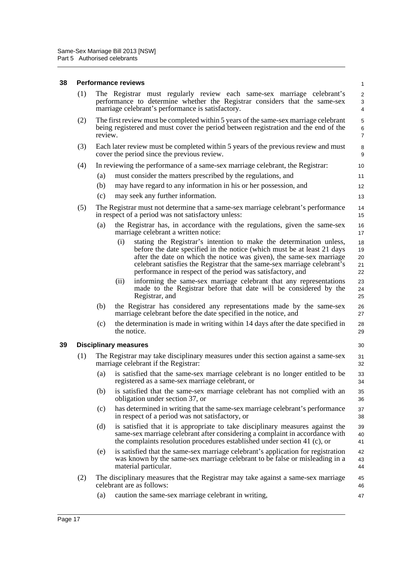### <span id="page-22-0"></span>**38 Performance reviews**

<span id="page-22-1"></span>

| 38 |     | <b>Performance reviews</b>                                                                                                                                                                                                                                                                                                                                              | $\mathbf{1}$                          |
|----|-----|-------------------------------------------------------------------------------------------------------------------------------------------------------------------------------------------------------------------------------------------------------------------------------------------------------------------------------------------------------------------------|---------------------------------------|
|    | (1) | The Registrar must regularly review each same-sex marriage celebrant's<br>performance to determine whether the Registrar considers that the same-sex<br>marriage celebrant's performance is satisfactory.                                                                                                                                                               | $\sqrt{2}$<br>3<br>$\overline{4}$     |
|    | (2) | The first review must be completed within 5 years of the same-sex marriage celebrant<br>being registered and must cover the period between registration and the end of the<br>review.                                                                                                                                                                                   | $\sqrt{5}$<br>$\,6$<br>$\overline{7}$ |
|    | (3) | Each later review must be completed within 5 years of the previous review and must<br>cover the period since the previous review.                                                                                                                                                                                                                                       | 8<br>9                                |
|    | (4) | In reviewing the performance of a same-sex marriage celebrant, the Registrar:                                                                                                                                                                                                                                                                                           | 10                                    |
|    |     | must consider the matters prescribed by the regulations, and<br>(a)                                                                                                                                                                                                                                                                                                     | 11                                    |
|    |     | (b)<br>may have regard to any information in his or her possession, and                                                                                                                                                                                                                                                                                                 | 12                                    |
|    |     | (c)<br>may seek any further information.                                                                                                                                                                                                                                                                                                                                | 13                                    |
|    | (5) | The Registrar must not determine that a same-sex marriage celebrant's performance<br>in respect of a period was not satisfactory unless:                                                                                                                                                                                                                                | 14<br>15                              |
|    |     | the Registrar has, in accordance with the regulations, given the same-sex<br>(a)<br>marriage celebrant a written notice:                                                                                                                                                                                                                                                | 16<br>17                              |
|    |     | (i)<br>stating the Registrar's intention to make the determination unless,<br>before the date specified in the notice (which must be at least 21 days<br>after the date on which the notice was given), the same-sex marriage<br>celebrant satisfies the Registrar that the same-sex marriage celebrant's<br>performance in respect of the period was satisfactory, and | 18<br>19<br>20<br>21<br>22            |
|    |     | informing the same-sex marriage celebrant that any representations<br>(i)<br>made to the Registrar before that date will be considered by the<br>Registrar, and                                                                                                                                                                                                         | 23<br>24<br>25                        |
|    |     | (b)<br>the Registrar has considered any representations made by the same-sex<br>marriage celebrant before the date specified in the notice, and                                                                                                                                                                                                                         | 26<br>27                              |
|    |     | the determination is made in writing within 14 days after the date specified in<br>(c)<br>the notice.                                                                                                                                                                                                                                                                   | 28<br>29                              |
| 39 |     | <b>Disciplinary measures</b>                                                                                                                                                                                                                                                                                                                                            | 30                                    |
|    | (1) | The Registrar may take disciplinary measures under this section against a same-sex<br>marriage celebrant if the Registrar:                                                                                                                                                                                                                                              | 31<br>32                              |
|    |     | is satisfied that the same-sex marriage celebrant is no longer entitled to be<br>(a)<br>registered as a same-sex marriage celebrant, or                                                                                                                                                                                                                                 | 33<br>34                              |
|    |     | is satisfied that the same-sex marriage celebrant has not complied with an<br>(b)<br>obligation under section 37, or                                                                                                                                                                                                                                                    | 35<br>36                              |
|    |     | has determined in writing that the same-sex marriage celebrant's performance<br>(c)<br>in respect of a period was not satisfactory, or                                                                                                                                                                                                                                  | 37<br>38                              |
|    |     | is satisfied that it is appropriate to take disciplinary measures against the<br>(d)<br>same-sex marriage celebrant after considering a complaint in accordance with<br>the complaints resolution procedures established under section 41 (c), or                                                                                                                       | 39<br>40<br>41                        |
|    |     | is satisfied that the same-sex marriage celebrant's application for registration<br>(e)<br>was known by the same-sex marriage celebrant to be false or misleading in a<br>material particular.                                                                                                                                                                          | 42<br>43<br>44                        |
|    | (2) | The disciplinary measures that the Registrar may take against a same-sex marriage<br>celebrant are as follows:                                                                                                                                                                                                                                                          | 45<br>46                              |
|    |     | (a)<br>caution the same-sex marriage celebrant in writing,                                                                                                                                                                                                                                                                                                              | 47                                    |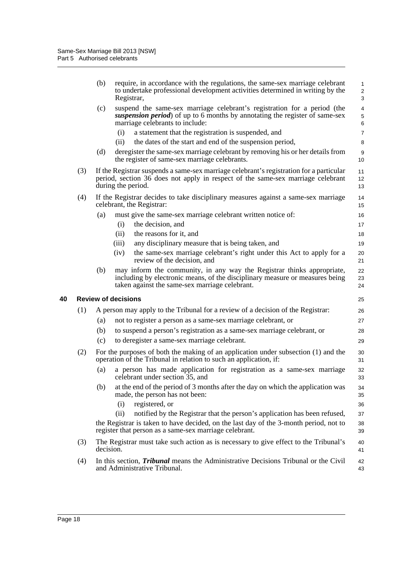|     | (b)       | require, in accordance with the regulations, the same-sex marriage celebrant<br>to undertake professional development activities determined in writing by the<br>Registrar,                              | 1<br>$\overline{\mathbf{c}}$<br>3 |
|-----|-----------|----------------------------------------------------------------------------------------------------------------------------------------------------------------------------------------------------------|-----------------------------------|
|     | (c)       | suspend the same-sex marriage celebrant's registration for a period (the<br>suspension period) of up to 6 months by annotating the register of same-sex<br>marriage celebrants to include:               | 4<br>5<br>6                       |
|     |           | a statement that the registration is suspended, and<br>(i)                                                                                                                                               | $\overline{7}$                    |
|     |           | the dates of the start and end of the suspension period,<br>(ii)                                                                                                                                         | 8                                 |
|     | (d)       | deregister the same-sex marriage celebrant by removing his or her details from<br>the register of same-sex marriage celebrants.                                                                          | 9<br>10                           |
| (3) |           | If the Registrar suspends a same-sex marriage celebrant's registration for a particular<br>period, section 36 does not apply in respect of the same-sex marriage celebrant<br>during the period.         | 11<br>12<br>13                    |
| (4) |           | If the Registrar decides to take disciplinary measures against a same-sex marriage<br>celebrant, the Registrar:                                                                                          | 14<br>15                          |
|     | (a)       | must give the same-sex marriage celebrant written notice of:                                                                                                                                             | 16                                |
|     |           | the decision, and<br>(i)                                                                                                                                                                                 | 17                                |
|     |           | (ii)<br>the reasons for it, and                                                                                                                                                                          | 18                                |
|     |           | (iii)<br>any disciplinary measure that is being taken, and                                                                                                                                               | 19                                |
|     |           | the same-sex marriage celebrant's right under this Act to apply for a<br>(iv)<br>review of the decision, and                                                                                             | 20<br>21                          |
|     | (b)       | may inform the community, in any way the Registrar thinks appropriate,<br>including by electronic means, of the disciplinary measure or measures being<br>taken against the same-sex marriage celebrant. | 22<br>23<br>24                    |
|     |           | <b>Review of decisions</b>                                                                                                                                                                               | 25                                |
| (1) |           | A person may apply to the Tribunal for a review of a decision of the Registrar:                                                                                                                          | 26                                |
|     | (a)       | not to register a person as a same-sex marriage celebrant, or                                                                                                                                            | 27                                |
|     | (b)       | to suspend a person's registration as a same-sex marriage celebrant, or                                                                                                                                  | 28                                |
|     | (c)       | to deregister a same-sex marriage celebrant.                                                                                                                                                             | 29                                |
| (2) |           | For the purposes of both the making of an application under subsection (1) and the<br>operation of the Tribunal in relation to such an application, if:                                                  | 30<br>31                          |
|     | (a)       | a person has made application for registration as a same-sex marriage<br>celebrant under section 35, and                                                                                                 | 32<br>33                          |
|     | (b)       | at the end of the period of 3 months after the day on which the application was<br>made, the person has not been:                                                                                        | 34<br>35                          |
|     |           | registered, or<br>(i)                                                                                                                                                                                    | 36                                |
|     |           | notified by the Registrar that the person's application has been refused,<br>(ii)                                                                                                                        | 37                                |
|     |           | the Registrar is taken to have decided, on the last day of the 3-month period, not to<br>register that person as a same-sex marriage celebrant.                                                          | 38<br>39                          |
| (3) | decision. | The Registrar must take such action as is necessary to give effect to the Tribunal's                                                                                                                     | 40<br>41                          |
| (4) |           | In this section, <i>Tribunal</i> means the Administrative Decisions Tribunal or the Civil<br>and Administrative Tribunal.                                                                                | 42<br>43                          |

<span id="page-23-0"></span>**40 Review of decisions**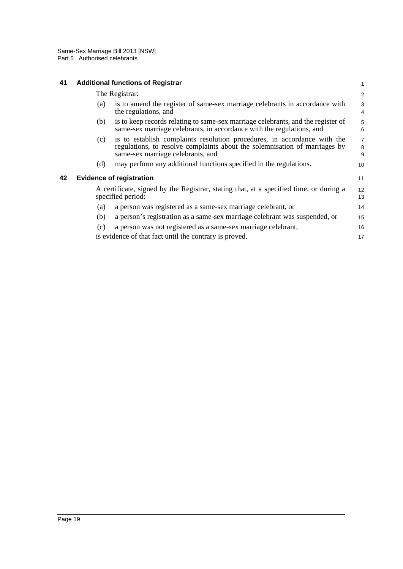<span id="page-24-0"></span>

| 41 | <b>Additional functions of Registrar</b> |  |
|----|------------------------------------------|--|
|----|------------------------------------------|--|

<span id="page-24-1"></span>

|    |     | The Registrar:                                                                                                                                                                              | 2                        |
|----|-----|---------------------------------------------------------------------------------------------------------------------------------------------------------------------------------------------|--------------------------|
|    | (a) | is to amend the register of same-sex marriage celebrants in accordance with<br>the regulations, and                                                                                         | 3<br>4                   |
|    | (b) | is to keep records relating to same-sex marriage celebrants, and the register of<br>same-sex marriage celebrants, in accordance with the regulations, and                                   | 5<br>6                   |
|    | (c) | is to establish complaints resolution procedures, in accordance with the<br>regulations, to resolve complaints about the solemnisation of marriages by<br>same-sex marriage celebrants, and | $\overline{7}$<br>8<br>9 |
|    | (d) | may perform any additional functions specified in the regulations.                                                                                                                          | 10                       |
| 42 |     | <b>Evidence of registration</b>                                                                                                                                                             | 11                       |
|    |     | A certificate, signed by the Registrar, stating that, at a specified time, or during a<br>specified period:                                                                                 | 12<br>13                 |
|    | (a) | a person was registered as a same-sex marriage celebrant, or                                                                                                                                | 14                       |
|    | (b) | a person's registration as a same-sex marriage celebrant was suspended, or                                                                                                                  | 15                       |
|    | (c) | a person was not registered as a same-sex marriage celebrant,                                                                                                                               | 16                       |
|    |     | is evidence of that fact until the contrary is proved.                                                                                                                                      | 17                       |

1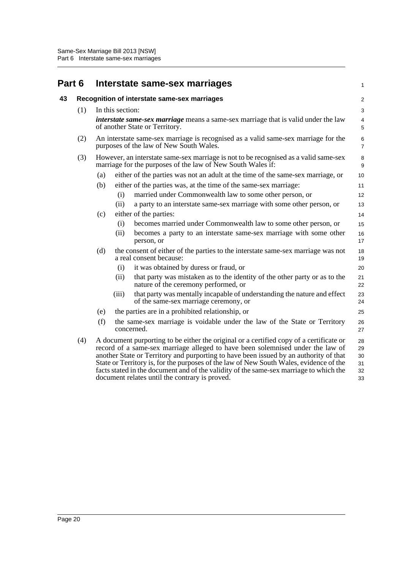<span id="page-25-1"></span><span id="page-25-0"></span>

| Part 6 |     |     |                  | Interstate same-sex marriages                                                                                                                                                                                                                                                                                                                                                                                                                                                                            | 1                                |
|--------|-----|-----|------------------|----------------------------------------------------------------------------------------------------------------------------------------------------------------------------------------------------------------------------------------------------------------------------------------------------------------------------------------------------------------------------------------------------------------------------------------------------------------------------------------------------------|----------------------------------|
| 43     |     |     |                  | Recognition of interstate same-sex marriages                                                                                                                                                                                                                                                                                                                                                                                                                                                             | $\overline{\mathbf{c}}$          |
|        | (1) |     | In this section: |                                                                                                                                                                                                                                                                                                                                                                                                                                                                                                          | 3                                |
|        |     |     |                  | <i>interstate same-sex marriage</i> means a same-sex marriage that is valid under the law<br>of another State or Territory.                                                                                                                                                                                                                                                                                                                                                                              | 4<br>5                           |
|        | (2) |     |                  | An interstate same-sex marriage is recognised as a valid same-sex marriage for the<br>purposes of the law of New South Wales.                                                                                                                                                                                                                                                                                                                                                                            | 6<br>$\overline{7}$              |
|        | (3) |     |                  | However, an interstate same-sex marriage is not to be recognised as a valid same-sex<br>marriage for the purposes of the law of New South Wales if:                                                                                                                                                                                                                                                                                                                                                      | 8<br>9                           |
|        |     | (a) |                  | either of the parties was not an adult at the time of the same-sex marriage, or                                                                                                                                                                                                                                                                                                                                                                                                                          | 10                               |
|        |     | (b) |                  | either of the parties was, at the time of the same-sex marriage:                                                                                                                                                                                                                                                                                                                                                                                                                                         | 11                               |
|        |     |     | (i)              | married under Commonwealth law to some other person, or                                                                                                                                                                                                                                                                                                                                                                                                                                                  | 12                               |
|        |     |     | (ii)             | a party to an interstate same-sex marriage with some other person, or                                                                                                                                                                                                                                                                                                                                                                                                                                    | 13                               |
|        |     | (c) |                  | either of the parties:                                                                                                                                                                                                                                                                                                                                                                                                                                                                                   | 14                               |
|        |     |     | (i)              | becomes married under Commonwealth law to some other person, or                                                                                                                                                                                                                                                                                                                                                                                                                                          | 15                               |
|        |     |     | (ii)             | becomes a party to an interstate same-sex marriage with some other<br>person, or                                                                                                                                                                                                                                                                                                                                                                                                                         | 16<br>17                         |
|        |     | (d) |                  | the consent of either of the parties to the interstate same-sex marriage was not<br>a real consent because:                                                                                                                                                                                                                                                                                                                                                                                              | 18<br>19                         |
|        |     |     | (i)              | it was obtained by duress or fraud, or                                                                                                                                                                                                                                                                                                                                                                                                                                                                   | 20                               |
|        |     |     | (ii)             | that party was mistaken as to the identity of the other party or as to the<br>nature of the ceremony performed, or                                                                                                                                                                                                                                                                                                                                                                                       | 21<br>22                         |
|        |     |     | (iii)            | that party was mentally incapable of understanding the nature and effect<br>of the same-sex marriage ceremony, or                                                                                                                                                                                                                                                                                                                                                                                        | 23<br>24                         |
|        |     | (e) |                  | the parties are in a prohibited relationship, or                                                                                                                                                                                                                                                                                                                                                                                                                                                         | 25                               |
|        |     | (f) |                  | the same-sex marriage is voidable under the law of the State or Territory<br>concerned.                                                                                                                                                                                                                                                                                                                                                                                                                  | 26<br>27                         |
|        | (4) |     |                  | A document purporting to be either the original or a certified copy of a certificate or<br>record of a same-sex marriage alleged to have been solemnised under the law of<br>another State or Territory and purporting to have been issued by an authority of that<br>State or Territory is, for the purposes of the law of New South Wales, evidence of the<br>facts stated in the document and of the validity of the same-sex marriage to which the<br>document relates until the contrary is proved. | 28<br>29<br>30<br>31<br>32<br>33 |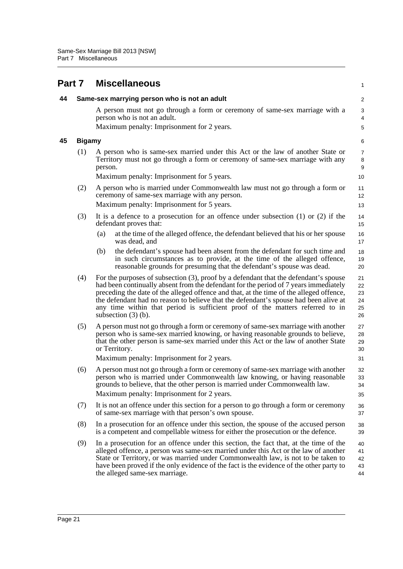<span id="page-26-2"></span><span id="page-26-1"></span><span id="page-26-0"></span>

| Part 7 |               | <b>Miscellaneous</b>                                                                                                                                                                                                                                                                                                                                                                                                                                                      | $\mathbf{1}$                       |
|--------|---------------|---------------------------------------------------------------------------------------------------------------------------------------------------------------------------------------------------------------------------------------------------------------------------------------------------------------------------------------------------------------------------------------------------------------------------------------------------------------------------|------------------------------------|
| 44     |               | Same-sex marrying person who is not an adult                                                                                                                                                                                                                                                                                                                                                                                                                              | $\overline{c}$                     |
|        |               | A person must not go through a form or ceremony of same-sex marriage with a<br>person who is not an adult.                                                                                                                                                                                                                                                                                                                                                                | $\sqrt{3}$<br>4                    |
|        |               | Maximum penalty: Imprisonment for 2 years.                                                                                                                                                                                                                                                                                                                                                                                                                                | 5                                  |
| 45     | <b>Bigamy</b> |                                                                                                                                                                                                                                                                                                                                                                                                                                                                           | 6                                  |
|        | (1)           | A person who is same-sex married under this Act or the law of another State or<br>Territory must not go through a form or ceremony of same-sex marriage with any<br>person.                                                                                                                                                                                                                                                                                               | $\overline{7}$<br>$\,8\,$<br>$9\,$ |
|        |               | Maximum penalty: Imprisonment for 5 years.                                                                                                                                                                                                                                                                                                                                                                                                                                | 10                                 |
|        | (2)           | A person who is married under Commonwealth law must not go through a form or<br>ceremony of same-sex marriage with any person.                                                                                                                                                                                                                                                                                                                                            | 11<br>12                           |
|        |               | Maximum penalty: Imprisonment for 5 years.                                                                                                                                                                                                                                                                                                                                                                                                                                | 13                                 |
|        | (3)           | It is a defence to a prosecution for an offence under subsection $(1)$ or $(2)$ if the<br>defendant proves that:                                                                                                                                                                                                                                                                                                                                                          | 14<br>15                           |
|        |               | at the time of the alleged offence, the defendant believed that his or her spouse<br>(a)<br>was dead, and                                                                                                                                                                                                                                                                                                                                                                 | 16<br>17                           |
|        |               | the defendant's spouse had been absent from the defendant for such time and<br>(b)<br>in such circumstances as to provide, at the time of the alleged offence,<br>reasonable grounds for presuming that the defendant's spouse was dead.                                                                                                                                                                                                                                  | 18<br>19<br>20                     |
|        | (4)           | For the purposes of subsection (3), proof by a defendant that the defendant's spouse<br>had been continually absent from the defendant for the period of 7 years immediately<br>preceding the date of the alleged offence and that, at the time of the alleged offence,<br>the defendant had no reason to believe that the defendant's spouse had been alive at<br>any time within that period is sufficient proof of the matters referred to in<br>subsection $(3)$ (b). | 21<br>22<br>23<br>24<br>25<br>26   |
|        | (5)           | A person must not go through a form or ceremony of same-sex marriage with another<br>person who is same-sex married knowing, or having reasonable grounds to believe,<br>that the other person is same-sex married under this Act or the law of another State<br>or Territory.<br>Maximum penalty: Imprisonment for 2 years.                                                                                                                                              | 27<br>28<br>29<br>30<br>31         |
|        | (6)           | A person must not go through a form or ceremony of same-sex marriage with another                                                                                                                                                                                                                                                                                                                                                                                         |                                    |
|        |               | person who is married under Commonwealth law knowing, or having reasonable<br>grounds to believe, that the other person is married under Commonwealth law.                                                                                                                                                                                                                                                                                                                | 32<br>33<br>34                     |
|        |               | Maximum penalty: Imprisonment for 2 years.                                                                                                                                                                                                                                                                                                                                                                                                                                | 35                                 |
|        | (7)           | It is not an offence under this section for a person to go through a form or ceremony<br>of same-sex marriage with that person's own spouse.                                                                                                                                                                                                                                                                                                                              | 36<br>37                           |
|        | (8)           | In a prosecution for an offence under this section, the spouse of the accused person<br>is a competent and compellable witness for either the prosecution or the defence.                                                                                                                                                                                                                                                                                                 | 38<br>39                           |
|        | (9)           | In a prosecution for an offence under this section, the fact that, at the time of the<br>alleged offence, a person was same-sex married under this Act or the law of another<br>State or Territory, or was married under Commonwealth law, is not to be taken to<br>have been proved if the only evidence of the fact is the evidence of the other party to<br>the alleged same-sex marriage.                                                                             | 40<br>41<br>42<br>43<br>44         |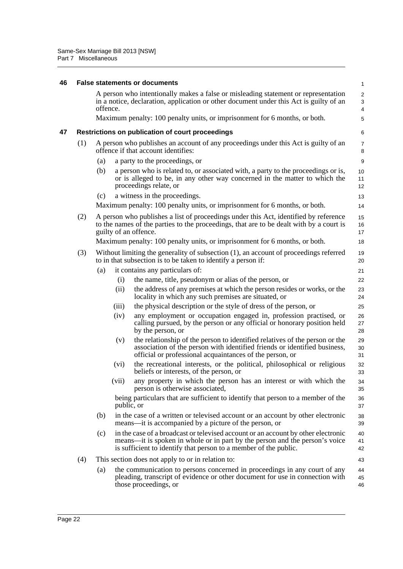<span id="page-27-1"></span><span id="page-27-0"></span>

| 46 |     | <b>False statements or documents</b>                                                                                                                                                                                                        | 1                                 |
|----|-----|---------------------------------------------------------------------------------------------------------------------------------------------------------------------------------------------------------------------------------------------|-----------------------------------|
|    |     | A person who intentionally makes a false or misleading statement or representation<br>in a notice, declaration, application or other document under this Act is guilty of an<br>offence.                                                    | $\overline{\mathbf{c}}$<br>3<br>4 |
|    |     | Maximum penalty: 100 penalty units, or imprisonment for 6 months, or both.                                                                                                                                                                  | 5                                 |
| 47 |     | Restrictions on publication of court proceedings                                                                                                                                                                                            | 6                                 |
|    | (1) | A person who publishes an account of any proceedings under this Act is guilty of an<br>offence if that account identifies:                                                                                                                  | 7<br>8                            |
|    |     | (a)<br>a party to the proceedings, or                                                                                                                                                                                                       | 9                                 |
|    |     | a person who is related to, or associated with, a party to the proceedings or is,<br>(b)<br>or is alleged to be, in any other way concerned in the matter to which the<br>proceedings relate, or                                            | 10<br>11<br>12                    |
|    |     | a witness in the proceedings.<br>(c)                                                                                                                                                                                                        | 13                                |
|    |     | Maximum penalty: 100 penalty units, or imprisonment for 6 months, or both.                                                                                                                                                                  | 14                                |
|    | (2) | A person who publishes a list of proceedings under this Act, identified by reference<br>to the names of the parties to the proceedings, that are to be dealt with by a court is<br>guilty of an offence.                                    | 15<br>16<br>17                    |
|    |     | Maximum penalty: 100 penalty units, or imprisonment for 6 months, or both.                                                                                                                                                                  | 18                                |
|    | (3) | Without limiting the generality of subsection (1), an account of proceedings referred<br>to in that subsection is to be taken to identify a person if:                                                                                      | 19<br>20                          |
|    |     | it contains any particulars of:<br>(a)                                                                                                                                                                                                      | 21                                |
|    |     | (i)<br>the name, title, pseudonym or alias of the person, or                                                                                                                                                                                | 22                                |
|    |     | (ii)<br>the address of any premises at which the person resides or works, or the<br>locality in which any such premises are situated, or                                                                                                    | 23<br>24                          |
|    |     | the physical description or the style of dress of the person, or<br>(iii)                                                                                                                                                                   | 25                                |
|    |     | any employment or occupation engaged in, profession practised, or<br>(iv)<br>calling pursued, by the person or any official or honorary position held<br>by the person, or                                                                  | 26<br>27<br>28                    |
|    |     | the relationship of the person to identified relatives of the person or the<br>(v)<br>association of the person with identified friends or identified business,<br>official or professional acquaintances of the person, or                 | 29<br>30<br>31                    |
|    |     | the recreational interests, or the political, philosophical or religious<br>(vi)<br>beliefs or interests, of the person, or                                                                                                                 | 32<br>33                          |
|    |     | any property in which the person has an interest or with which the<br>(vii)<br>person is otherwise associated,                                                                                                                              | 34<br>35                          |
|    |     | being particulars that are sufficient to identify that person to a member of the<br>public, or                                                                                                                                              | 36<br>37                          |
|    |     | in the case of a written or televised account or an account by other electronic<br>(b)<br>means—it is accompanied by a picture of the person, or                                                                                            | 38<br>39                          |
|    |     | in the case of a broadcast or televised account or an account by other electronic<br>(c)<br>means—it is spoken in whole or in part by the person and the person's voice<br>is sufficient to identify that person to a member of the public. | 40<br>41<br>42                    |
|    | (4) | This section does not apply to or in relation to:                                                                                                                                                                                           | 43                                |
|    |     | the communication to persons concerned in proceedings in any court of any<br>(a)<br>pleading, transcript of evidence or other document for use in connection with<br>those proceedings, or                                                  | 44<br>45<br>46                    |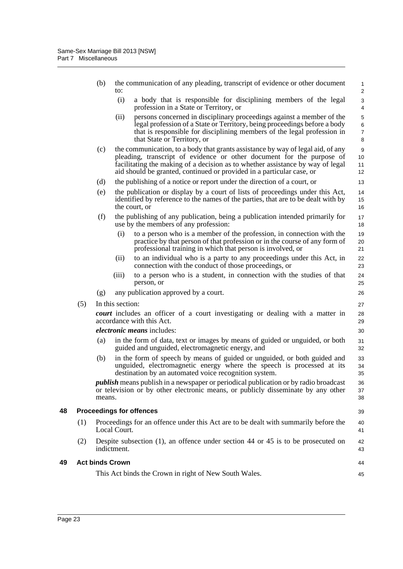<span id="page-28-1"></span><span id="page-28-0"></span>

|    |     | (b)                    | to:              | the communication of any pleading, transcript of evidence or other document                                                                                                                                                                                                                                         | 1<br>$\overline{\mathbf{c}}$ |
|----|-----|------------------------|------------------|---------------------------------------------------------------------------------------------------------------------------------------------------------------------------------------------------------------------------------------------------------------------------------------------------------------------|------------------------------|
|    |     |                        | (i)              | a body that is responsible for disciplining members of the legal<br>profession in a State or Territory, or                                                                                                                                                                                                          | 3<br>4                       |
|    |     |                        | (ii)             | persons concerned in disciplinary proceedings against a member of the<br>legal profession of a State or Territory, being proceedings before a body<br>that is responsible for disciplining members of the legal profession in<br>that State or Territory, or                                                        | 5<br>6<br>7<br>8             |
|    |     | (c)                    |                  | the communication, to a body that grants assistance by way of legal aid, of any<br>pleading, transcript of evidence or other document for the purpose of<br>facilitating the making of a decision as to whether assistance by way of legal<br>aid should be granted, continued or provided in a particular case, or | 9<br>10<br>11<br>12          |
|    |     | (d)                    |                  | the publishing of a notice or report under the direction of a court, or                                                                                                                                                                                                                                             | 13                           |
|    |     | (e)                    |                  | the publication or display by a court of lists of proceedings under this Act,<br>identified by reference to the names of the parties, that are to be dealt with by<br>the court, or                                                                                                                                 | 14<br>15<br>16               |
|    |     | (f)                    |                  | the publishing of any publication, being a publication intended primarily for<br>use by the members of any profession:                                                                                                                                                                                              | 17<br>18                     |
|    |     |                        | (i)              | to a person who is a member of the profession, in connection with the<br>practice by that person of that profession or in the course of any form of<br>professional training in which that person is involved, or                                                                                                   | 19<br>20<br>21               |
|    |     |                        | (ii)             | to an individual who is a party to any proceedings under this Act, in<br>connection with the conduct of those proceedings, or                                                                                                                                                                                       | 22<br>23                     |
|    |     |                        | (iii)            | to a person who is a student, in connection with the studies of that<br>person, or                                                                                                                                                                                                                                  | 24<br>25                     |
|    |     | (g)                    |                  | any publication approved by a court.                                                                                                                                                                                                                                                                                | 26                           |
|    | (5) |                        | In this section: |                                                                                                                                                                                                                                                                                                                     | 27                           |
|    |     |                        |                  | court includes an officer of a court investigating or dealing with a matter in<br>accordance with this Act.                                                                                                                                                                                                         | 28<br>29                     |
|    |     |                        |                  | <i>electronic means includes:</i>                                                                                                                                                                                                                                                                                   | 30                           |
|    |     | (a)                    |                  | in the form of data, text or images by means of guided or unguided, or both<br>guided and unguided, electromagnetic energy, and                                                                                                                                                                                     | 31<br>32                     |
|    |     | (b)                    |                  | in the form of speech by means of guided or unguided, or both guided and<br>unguided, electromagnetic energy where the speech is processed at its<br>destination by an automated voice recognition system.                                                                                                          | 33<br>34<br>35               |
|    |     | means.                 |                  | <i>publish</i> means publish in a newspaper or periodical publication or by radio broadcast<br>or television or by other electronic means, or publicly disseminate by any other                                                                                                                                     | 36<br>37<br>38               |
| 48 |     |                        |                  | <b>Proceedings for offences</b>                                                                                                                                                                                                                                                                                     | 39                           |
|    | (1) |                        | Local Court.     | Proceedings for an offence under this Act are to be dealt with summarily before the                                                                                                                                                                                                                                 | 40<br>41                     |
|    | (2) |                        | indictment.      | Despite subsection $(1)$ , an offence under section 44 or 45 is to be prosecuted on                                                                                                                                                                                                                                 | 42<br>43                     |
| 49 |     | <b>Act binds Crown</b> |                  |                                                                                                                                                                                                                                                                                                                     | 44                           |
|    |     |                        |                  | This Act binds the Crown in right of New South Wales.                                                                                                                                                                                                                                                               | 45                           |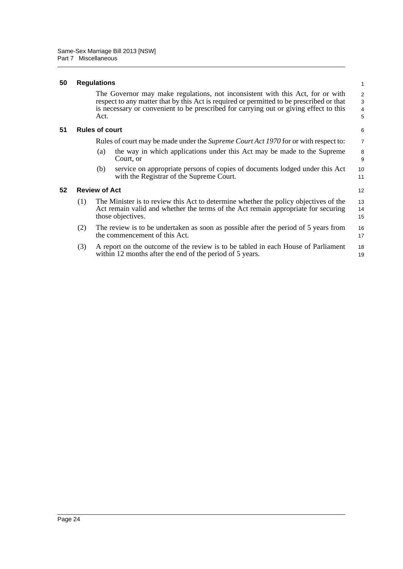#### <span id="page-29-0"></span>**50 Regulations**

The Governor may make regulations, not inconsistent with this Act, for or with respect to any matter that by this Act is required or permitted to be prescribed or that is necessary or convenient to be prescribed for carrying out or giving effect to this Act.

#### <span id="page-29-1"></span>**51 Rules of court**

Rules of court may be made under the *Supreme Court Act 1970* for or with respect to:

- (a) the way in which applications under this Act may be made to the Supreme Court, or
- (b) service on appropriate persons of copies of documents lodged under this Act with the Registrar of the Supreme Court.

#### <span id="page-29-2"></span>**52 Review of Act**

- (1) The Minister is to review this Act to determine whether the policy objectives of the Act remain valid and whether the terms of the Act remain appropriate for securing those objectives. 13 14 15
- (2) The review is to be undertaken as soon as possible after the period of 5 years from the commencement of this Act. 16 17
- (3) A report on the outcome of the review is to be tabled in each House of Parliament within 12 months after the end of the period of 5 years. 18 19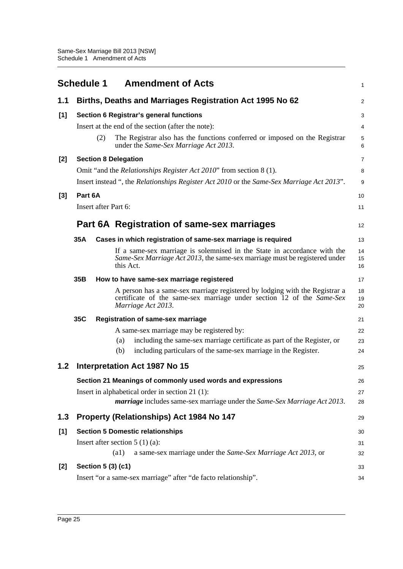<span id="page-30-0"></span>

|       | <b>Schedule 1</b> |     | <b>Amendment of Acts</b>                                                                                                                                                   | 1              |
|-------|-------------------|-----|----------------------------------------------------------------------------------------------------------------------------------------------------------------------------|----------------|
| 1.1   |                   |     | Births, Deaths and Marriages Registration Act 1995 No 62                                                                                                                   | 2              |
| [1]   |                   |     | Section 6 Registrar's general functions                                                                                                                                    | 3              |
|       |                   |     | Insert at the end of the section (after the note):                                                                                                                         | 4              |
|       |                   | (2) | The Registrar also has the functions conferred or imposed on the Registrar<br>under the Same-Sex Marriage Act 2013.                                                        | 5<br>6         |
| $[2]$ |                   |     | <b>Section 8 Delegation</b>                                                                                                                                                | 7              |
|       |                   |     | Omit "and the <i>Relationships Register Act 2010</i> " from section 8 (1).                                                                                                 | 8              |
|       |                   |     | Insert instead ", the <i>Relationships Register Act 2010</i> or the <i>Same-Sex Marriage Act 2013</i> ".                                                                   | 9              |
| $[3]$ | Part 6A           |     |                                                                                                                                                                            | 10             |
|       |                   |     | Insert after Part 6:                                                                                                                                                       | 11             |
|       |                   |     | Part 6A Registration of same-sex marriages                                                                                                                                 | 12             |
|       | 35A               |     | Cases in which registration of same-sex marriage is required                                                                                                               | 13             |
|       |                   |     | If a same-sex marriage is solemnised in the State in accordance with the<br>Same-Sex Marriage Act 2013, the same-sex marriage must be registered under<br>this Act.        | 14<br>15<br>16 |
|       | 35B               |     | How to have same-sex marriage registered                                                                                                                                   | 17             |
|       |                   |     | A person has a same-sex marriage registered by lodging with the Registrar a<br>certificate of the same-sex marriage under section 12 of the Same-Sex<br>Marriage Act 2013. | 18<br>19<br>20 |
|       | 35C               |     | <b>Registration of same-sex marriage</b>                                                                                                                                   | 21             |
|       |                   |     | A same-sex marriage may be registered by:                                                                                                                                  | 22             |
|       |                   |     | including the same-sex marriage certificate as part of the Register, or<br>(a)                                                                                             | 23             |
|       |                   |     | including particulars of the same-sex marriage in the Register.<br>(b)                                                                                                     | 24             |
| 1.2   |                   |     | <b>Interpretation Act 1987 No 15</b>                                                                                                                                       | 25             |
|       |                   |     | Section 21 Meanings of commonly used words and expressions                                                                                                                 | 26             |
|       |                   |     | Insert in alphabetical order in section 21 (1):                                                                                                                            | 27             |
|       |                   |     | marriage includes same-sex marriage under the Same-Sex Marriage Act 2013.                                                                                                  | 28             |
| 1.3   |                   |     | Property (Relationships) Act 1984 No 147                                                                                                                                   | 29             |
| [1]   |                   |     | <b>Section 5 Domestic relationships</b>                                                                                                                                    | 30             |
|       |                   |     | Insert after section $5(1)(a)$ :                                                                                                                                           | 31             |
|       |                   |     | (a1)<br>a same-sex marriage under the Same-Sex Marriage Act 2013, or                                                                                                       | 32             |
| $[2]$ |                   |     | Section 5 (3) (c1)                                                                                                                                                         | 33             |
|       |                   |     | Insert "or a same-sex marriage" after "de facto relationship".                                                                                                             | 34             |